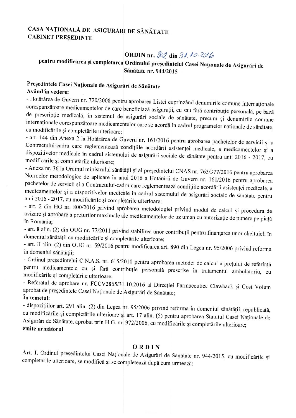## CASA NAȚIONALĂ DE ASIGURĂRI DE SĂNĂTATE **CABINET PRESEDINTE**

# ORDIN nr. 902 din 31.10.2016

# pentru modificarea și completarea Ordinului președintelui Casei Naționale de Asigurări de Sănătate nr. 944/2015

# Președintele Casei Naționale de Asigurări de Sănătate

### Având în vedere:

- Hotărârea de Guvern nr. 720/2008 pentru aprobarea Listei cuprinzând denumirile comune internaționale corespunzătoare medicamentelor de care beneficiază asigurații, cu sau fără contribuție personală, pe bază de prescripție medicală, în sistemul de asigurări sociale de sănătate, precum și denumirile comune internaționale corespunzătoare medicamentelor care se acordă în cadrul programelor naționale de sănătate, cu modificările și completările ulterioare;

- art. 144 din Anexa 2 la Hotărârea de Guvern nr. 161/2016 pentru aprobarea pachetelor de servicii și a Contractului-cadru care reglementează condițiile acordării asistenței medicale, a medicamentelor și a dispozitivelor medicale în cadrul sistemului de asigurări sociale de sănătate pentru anii 2016 - 2017, cu modificările și completările ulterioare;

- Anexa nr. 36 la Ordinul ministrului sănătății și al președintelui CNAS nr. 763/377/2016 pentru aprobarea Normelor metodologice de aplicare în anul 2016 a Hotărârii de Guvern nr. 161/2016 pentru aprobarea pachetelor de servicii și a Contractului-cadru care reglementează condițiile acordării asistenței medicale, a medicamentelor și a dispozitivelor medicale în cadrul sistemului de asigurări sociale de sănătate pentru anii 2016 - 2017, cu modificările și completările ulterioare;

- art. 2 din HG nr. 800/2016 privind aprobarea metodologiei privind modul de calcul și procedura de avizare și aprobare a prețurilor maximale ale medicamentelor de uz uman cu autorizație de punere pe piață în România:

- art. 8 alin. (2) din OUG nr. 77/2011 privind stabilirea unor contribuții pentru finanțarea unor cheltuieli în domeniul sănătății cu modificările și completările ulterioare;

- art. II alin. (2) din OUG nr. 59/2016 pentru modificarea art. 890 din Legea nr. 95/2006 privind reforma în domeniul sănătății:

- Ordinul președintelui C.N.A.S. nr. 615/2010 pentru aprobarea metodei de calcul a prețului de referință pentru medicamentele cu și fără contribuție personală prescrise în tratamentul ambulatoriu, cu modificările și completările ulterioare;

- Referatul de aprobare nr. FCCV2865/31.10.2016 al Direcției Farmaceutice Clawback și Cost Volum aprobat de președintele Casei Naționale de Asigurări de Sănătate;

### În temeiul:

- dispozițiilor art. 291 alin. (2) din Legea nr. 95/2006 privind reforma în domeniul sănătății, republicată, cu modificările și completările ulterioare și art. 17 alin. (5) pentru aprobarea Statutul Casei Naționale de Asigurări de Sănătate, aprobat prin H.G. nr. 972/2006, cu modificările și completările ulterioare; emite următorul

### ORDIN

Art. I. Ordinul președintelui Casei Naționale de Asigurări de Sănătate nr. 944/2015, cu modificările și completările ulterioare, se modifică și se completează după cum urmează: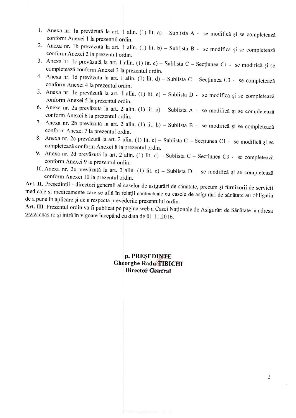- 1. Anexa nr. la prevăzută la art. 1 alin. (1) lit. a) Sublista A se modifică și se completează conform Anexei 1 la prezentul ordin.
- 2. Anexa nr. 1b prevăzută la art. 1 alin. (1) lit. b) Sublista B se modifică și se completează conform Anexei 2 la prezentul ordin.
- 3. Anexa nr. 1c prevăzută la art. 1 alin. (1) lit. c) Sublista C Secțiunea C1 se modifică și se completează conform Anexei 3 la prezentul ordin.
- 4. Anexa nr. 1d prevăzută la art. 1 alin. (1) lit. d) Sublista C Secțiunea C3 se completează conform Anexei 4 la prezentul ordin.
- 5. Anexa nr. le prevăzută la art. 1 alin. (1) lit. e) Sublista D se modifică și se completează conform Anexei 5 la prezentul ordin.
- 6. Anexa nr. 2a prevăzută la art. 2 alin. (1) lit. a) Sublista A se modifică și se completează conform Anexei 6 la prezentul ordin.
- 7. Anexa nr. 2b prevăzută la art. 2 alin. (1) lit. b) Sublista B se modifică și se completează conform Anexei 7 la prezentul ordin.
- 8. Anexa nr. 2c prevăzută la art. 2 alin. (1) lit. c) Sublista C Secțiunea C1 se modifică și se completează conform Anexei 8 la prezentul ordin.
- 9. Anexa nr. 2d prevăzută la art. 2 alin. (1) lit. d) Sublista C Secțiunea C3 se completează conform Anexei 9 la prezentul ordin.
- 10. Anexa nr. 2e prevăzută la art. 2 alin. (1) lit. e) Sublista D se modifică și se completează conform Anexei 10 la prezentul ordin.

Art. II. Președinții - directori generali ai caselor de asigurări de sănătate, precum și furnizorii de servicii medicale și medicamente care se află în relații contractuale cu casele de asigurări de sănătate au obligația de a pune în aplicare și de a respecta prevederile prezentului ordin.

Art. III. Prezentul ordin va fi publicat pe pagina web a Casei Naționale de Asigurări de Sănătate la adresa www.cnas.ro și intră în vigoare începând cu data de 01.11.2016.

### p. PRESEDINTE **Gheorghe Radu TIBICHI** Director General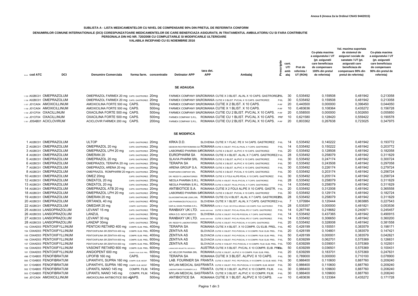#### **SUBLISTA A - LISTA MEDICAMENTELOR CU NIVEL DE COMPENSARE 90% DIN PRETUL DE REFERINTA CONFORM**

### DENUMIRILOR COMUNE INTERNATIONALE (DCI) CORESPUNZATOARE MEDICAMENTELOR DE CARE BENEFICIAZA ASIGURATII, IN TRATAMENTUL AMBULATORIU CU SI FARA CONTRIBUTIE<br>PERSONALA DIN HG NR. 720/2008 CU COMPLETARILE SI MODIFICARILE ULTERIO

**VALABILA INCEPAND CU 01 NOIEMBRIE 2016**

| Neer, COD ATC               | DCI | <b>Denumire Comerciala</b>                    | forma farm. concentratie | <b>Detinator APP</b>                                                     | tara det.<br><b>APP</b> | Ambalaj                                     |        | cant.<br>UT/<br>amb | Pret de<br>referinta<br>UT (RON) | Co-plata maxima<br>a asiguratului / UT<br>(pt. asiguratii<br>care beneficiaza<br>de compensare<br>100% din pretul<br>de referinta) | Val. maxima suportata<br>de sistemul de<br>asigurari sociale de<br>sanatate / UT (pt.<br>asiguratii care<br>beneficiaza de<br>compensare 90% din<br>pretul de referinta) | Co-plata maxima<br>a asiguratului / UT<br>(pt. asiguratii<br>care beneficiaza<br>de compensare<br>90% din pretul de<br>referinta) |
|-----------------------------|-----|-----------------------------------------------|--------------------------|--------------------------------------------------------------------------|-------------------------|---------------------------------------------|--------|---------------------|----------------------------------|------------------------------------------------------------------------------------------------------------------------------------|--------------------------------------------------------------------------------------------------------------------------------------------------------------------------|-----------------------------------------------------------------------------------------------------------------------------------|
|                             |     |                                               |                          | <b>SE ADAUGA</b>                                                         |                         |                                             |        |                     |                                  |                                                                                                                                    |                                                                                                                                                                          |                                                                                                                                   |
| 1.155 A02BC01 OMEPRAZOLUM   |     | OMEPRAZOL FARMEX 20 mg CAPS. GASTROREZ. 20 mg |                          | FARMEX COMPANY SRIROMANIA CUTIE X 3 BLIST, AL/AL X 10 CAPS, GASTROREZ 6L |                         |                                             |        | 30                  | 0.535492                         | 0.159508                                                                                                                           | 0.481942                                                                                                                                                                 | 0,213058                                                                                                                          |
| 1.156 A02BC01 OMEPRAZOLUM   |     | OMEPRAZOL FARMEX 20 mg CAPS. GASTROREZ. 20 mg |                          | FARMEX COMPANY SRIROMANIA CUTIE X 3 BLIST, PVC/AL X 10 CAPS, GASTROREZ.  |                         |                                             | $P-6L$ | 30                  | 0.535492                         | 0,159508                                                                                                                           | 0.481942                                                                                                                                                                 | 0,213058                                                                                                                          |
| 1.157 J01CA04 AMOXICILLINUM |     | AMOXICILINA FORTE 500 mg CAPS.                | 500 <sub>mg</sub>        | FARMEX COMPANY SRIROMANIA CUTIE X 2 BLIST. X 10 CAPS.                    |                         |                                             | P-RF   | 20                  | 0.440500                         | 0,000000                                                                                                                           | 0,396450                                                                                                                                                                 | 0.044050                                                                                                                          |
| 1.158 J01CA04 AMOXICILLINUM |     | AMOXICILINA FORTE 500 mg CAPS.                | 500 <sub>mg</sub>        | FARMEX COMPANY SRIROMANIA CUTIE X 1 BLIST, X 10 CAPS.                    |                         |                                             | P-RF   | 10                  | 0.483636                         | 0.108364                                                                                                                           | 0.435272                                                                                                                                                                 | 0,156728                                                                                                                          |
| 1.159 J01CF04 OXACILLINUM   |     | OXACILINA FORTE 500 mg CAPS.                  | 500 <sub>mg</sub>        | FARMEX COMPANY SRIROMANIA CUTIE CU 2 BLIST, PVC/AL X 10 CAPS.            |                         |                                             | P-RF   | 20                  | 0.558500                         | 0,000000                                                                                                                           | 0,502650                                                                                                                                                                 | 0,055850                                                                                                                          |
| 1.160 J01CF04 OXACILLINUM   |     | OXACILINA FORTE 500 mg CAPS.                  | 500 <sub>mg</sub>        | <b>FARMEX COMPANY S.R.L</b>                                              |                         | ROMANIA CUTIE CU 1 BLIST. PVC/AL X 10 CAPS. | PRF    | 10                  | 0.621580                         | 0,128420                                                                                                                           | 0,559422                                                                                                                                                                 | 0,190578                                                                                                                          |
| 1.161 J05AB01 ACICLOVIRUM   |     | ACICLOVIR FARMEX 200 mg CAPS.                 | 200 <sub>mg</sub>        | FARMEX COMPANY S.R.L.                                                    |                         | ROMANIA CUTIE CU 2 BLIST. PVC/AL X 10 CAPS. | P-RF   | 20                  | 0,803362                         | 0.267638                                                                                                                           | 0,723025                                                                                                                                                                 | 0.347975                                                                                                                          |

#### **SE MODIFICA**

| 1 A02BC01 OMEPRAZOLUM       | <b>ULTOP</b>                                   | CAPS. GASTROREZ. 20mg          | KRKA D.D.                        | SLOVENIA CUTIE X 1 FLAC. PE X 14 CAPS. GASTROREZ.                                       | $P-6I$ | 14  | 0.535492 | 0.140222 | 0.481942 | 0.193772 |
|-----------------------------|------------------------------------------------|--------------------------------|----------------------------------|-----------------------------------------------------------------------------------------|--------|-----|----------|----------|----------|----------|
| 2 A02BC01 OMEPRAZOLUM       | OMEPRAZOL 20 mg                                | CAPS. GASTROREZ. 20mg          |                                  | GEDEON RICHTER ROMANIA SA ROMANIA CUTIE X 2 BLIST. PVC-AL-PA/AL X 7 CAPS. GASTROREZ     | $P-6L$ | 14  | 0.535492 | 0.150222 | 0.481942 | 0.203772 |
| 3 A02BC01 OMEPRAZOLUM       | OMEPRAZOL LPH 20 mg                            | CAPS. GASTROREZ. 20mg          |                                  | LABORMED PHARMA SAROMANIA CUTIE X 2 BLIST. AL/PVC X 10 CAPS. GASTROREZ.                 | $P-6L$ | -20 | 0.535492 | 0.128508 | 0.481942 | 0.182058 |
| 4 A02BC01 OMEPRAZOLUM       | OMERAN 20                                      | CAPS. GASTROREZ. 20mg          | EUROPHARM SA                     | ROMANIA CUTIE X 4 BLIST, AL/AL X 7 CAPS, GASTROREZ, P-6L                                |        | 28  | 0.535492 | 0.258079 | 0.481942 | 0.311629 |
| 5 A02BC01 OMEPRAZOLUM       | OMEPRAZOL 20 mg                                | CAPS. GASTROREZ. 20mg          | <b>SLAVIA PHARM SRL</b>          | ROMANIA CUTIE X 3 BLIST. AL/PVC X 10 CAPS. GASTROREZ.                                   | $P-6L$ | 30  | 0.535492 | 0.247174 | 0.481942 | 0.300724 |
| 6 A02BC01 OMEPRAZOLUM       | OMEPRAZOL TERAPIA 20 mg CAPS. GASTROREZ. 20mg  |                                | <b>TERAPIA SA</b>                | ROMANIA CUTIE X 3 BLIST, AL/PVC X 10 CAPS, GASTROREZ                                    | $P-6L$ | 30  | 0.535492 | 0.243508 | 0.481942 | 0.297058 |
| 7 A02BC01 OMEPRAZOLUM       | OMEPRAZOL ARENA 20 mg CAPS. GASTROREZ. 20mg    |                                | ARENA GROUP S.A.                 | ROMANIA CUTIE X 3 BLIST, AL/PVC X 10 CAPS, GASTROREZ.                                   | $P-6L$ | 30  | 0.535492 | 0.226174 | 0.481942 | 0.279724 |
| 8 A02BC01 OMEPRAZOLUM       | OMEPRAZOL ROMPHARM 20 mg aps. GASTROREZ. 20mg  |                                | ROMPHARM COMPANY SRI             | ROMANIA CUTIE X 3 BLIST, PVC/AL X 10 CAPS, GASTROREZ.                                   | $P-6L$ | 30  | 0,535492 | 0,203174 | 0.481942 | 0.256724 |
| 10 A02BC01 OMEPRAZOLUM      | OMEZ 20mg                                      | CAPS. GASTROREZ. 20mg          | DR. REDDY'S LABORATORIES         | ROMANIA CUTIE X 3 FOLII AL/PE-PE/AL X 10 CAPS. GASTROREZ.                               | $P-6L$ | 30  | 0.535492 | 0.205174 | 0.481942 | 0.258724 |
| 12 A02BC01 OMEPRAZOLUM      | OMZATOL 20 mg                                  | CAPS. GASTROREZ. 20mg          | NEOLA PHARMA S.R.L               | ROMANIA CUTIE X 4 BLIST, PA-AL-PVC/AL X 7 CAPS, GASTROREZ.                              | $P-6L$ | 28  | 0.535492 | 0.258079 | 0.481942 | 0.311629 |
| 13 A02BC01 OMEPRAZOLUM      | OMZATOL 20 mg                                  | CAPS. GASTROREZ. 20mg          |                                  | NEOLA PHARMA S.R.L. ROMANIA CUTIE X 2 BLIST. PA-AL-PVC/AL X 7 CAPS. GASTROREZ.          | $P-6L$ | 14  | 0,535492 | 0.258079 | 0.481942 | 0.311629 |
| 14 A02BC01 OMEPRAZOLUM      | OMEPRAZOL ATB 20 mg                            | CAPS. GASTROREZ. 20mg          | ANTIBIOTICE S.A.                 | ROMANIA CUTIE X 2 FOLII AL/PE X 10 CAPS, GASTR. P-6L                                    |        | 20  | 0.535492 | 0,312008 | 0,481942 | 0.365558 |
| 18 A02BC01 OMEPRAZOLUM      | OMEPRAZOL LPH 20 mg                            | CAPS. GASTROREZ. 20mg          |                                  | LABORMED PHARMA SAROMANIA CUTIE X 3 BLIST. PVC/AL X 10 CAPS. GASTROREZ                  | $P-6L$ | -30 | 0.535492 | 0.129174 | 0.481942 | 0.182724 |
| 19 A02BC01 OMEPRAZOLUM      | OMERAN 20 mg                                   | CAPS. GASTROREZ. 20mg          | <b>GLAXOSMITHKLINE (GSK) SRL</b> | ROMANIA CUTIE CU 4 BLIST, AL/AL X 7 CAPS, GASTRORE P6L                                  |        | 28  | 0.535492 | 0.258079 | 0.481942 | 0.311629 |
| 20 A02BC01 OMEPRAZOLUM      | ORTANOL 40 mg                                  | CAPS. GASTROREZ. 40mg          | LEK PHARMACEUTICALS D.D.         | SLOVENIA CUTIE X 1 BLIST, AL/AL X 7 CAPS, GASTROREZ.P-6L                                |        |     | 1.070984 | 0.120444 | 0.963885 | 0.227543 |
| 22 A02BC01 OMEPRAZOLUM      | OMEDAR 20 mg                                   | COMPR. GASTROREZ. 20mg         | DAR AL DAWA PHARMA S.R.L.        | ROMANIA CUTIE X 1 FLAC. DE STICLA BRUNA X 28 COMPR. FILM. GASTROREZ.                    | $P-6L$ | 28  | 0.535357 | 0,000000 | 0.481821 | 0.053536 |
| 25 A02BC03 LANSOPRAZOLUM    | LEVANT 15 mg                                   | CAPS. GASTROREZ. 15mg          | RANBAXY UK LTD.                  | MAREA BRITANIE CUTIE X 2 BLIST. PVC-AL-PO/AL-PE X 7 CAPS. GASTROREZ.                    | $P-6L$ |     | 0.267746 | 0.218682 | 0.240971 | 0.245457 |
| 26 A02BC03 LANSOPRAZOLUM    | LANZUL                                         | CAPS. GASTROREZ. 30mg          | KRKA D.D. NOVO MESTO             | SLOVENIA CUTIE X 2 BLIST, PVC-PE-PVDC/AL X 7 CAPS, GASTROREZ.                           | $P-6L$ | 14  | 0.535492 | 0.437365 | 0.481942 | 0.490915 |
| 27 A02BC03 LANSOPRAZOLUM    | LEVANT 30 mg                                   | CAPS. GASTROREZ. 30mg          | RANBAXY UK LTD.                  | MAREA BRITANIE CUTIE X 2 BLIST. PVC-AL-PO/AL-PE X 7 CAPS. GASTROREZ.                    | $P-6L$ | 14  | 0.535492 | 0.306650 | 0.481942 | 0.360200 |
| 28 A02BC03 LANSOPRAZOLUM    | LANZAP 30mg                                    | CAPS. GASTROREZ. 30mg          | DR. REDDY'S LABORATORIES         | ROMANIA CUTIE X 2 BLIST. PVC-PVDC/AL X 10 CAPS. GASTROREZ.                              | $P-6L$ | 20  | 0.535492 | 0,328008 | 0.481942 | 0.381558 |
| 152 C04AD03 PENTOXIFYLLINUM | PENTOXI RETARD 400 mg                          | COMPR. ELIB. PREL. 400mg       | <b>TERAPIA SA</b>                | ROMANIA CUTIE X 4 BLIST, X 10 COMPR, CU ELIB, PREL. P-6L                                |        | 40  | 0.426199 | 0,155551 | 0,383579 | 0,198171 |
| 154 C04AD03 PENTOXIFYLLINUM | PENTOXIFILINA SR ZENTIVA 400 mg                | COMPR. ELIB. PREL. 400mg       | <b>ZENTIVA AS</b>                | SLOVACIA CUTIE X 2 BLIST, PVC-PVDC/AL X 10 COMPR, FILM, ELIB, PREL. P-6L                |        | -20 | 0.426199 | 0.104801 | 0.383579 | 0.147421 |
| 155 C04AD03 PENTOXIFYLLINUM | PENTOXIFILINA SR ZENTIVA 400 mg                | COMPR. ELIB. PREL. 400mg       | <b>ZENTIVA AS</b>                | SLOVACIA CUTIE X 5 BLIST, PVC-PVDC/AL X 10 COMPR, FILM, ELIB, PREL. P-6L                |        | 50  | 0.426199 | 0.000001 | 0.383579 | 0.042621 |
| 156 C04AD03 PENTOXIFYLLINUM | PENTOXIFILINA SR ZENTIVA 600 mg                | COMPR. ELIB. PREL. 600mg       | <b>ZENTIVA AS</b>                | SLOVACIA CUTIE X 5 BLIST. PVC-PVDC/AL X 10 COMPR. FILM. ELIB. PREL. P-6L                |        | -50 | 0.639299 | 0.062701 | 0.575369 | 0.126631 |
| 157 C04AD03 PENTOXIFYLLINUM | PENTOXIFILINA SR ZENTIVA 600 mg                | COMPR. ELIB. PREL. 600mg       | <b>ZENTIVA AS</b>                | SLOVACIA CUTIE X 10 BLIST, PVC-PVDC/AL X 10 COMPR, FILM, ELIB, PREL. P-6L               |        | 100 | 0.639299 | 0.039001 | 0.575369 | 0.102931 |
| 158 C04AD03 PENTOXIFYLLINUM | VASONIT RETARD 600 mg COMPR. ELIB. PREL. 600mg |                                | LANNACHER HEILMITTEL GES.M.B.H.  | AUSTRIA CUTIE X 5 BLIST, PVC/AL X 10 COMPR, ELIB, PREBL                                 |        | -50 | 0.639299 | 0.036501 | 0.575369 | 0.100431 |
| 161 C04AD03 PENTOXIFYLLINUM | ANGIOPENT 600 mg                               | COMPR. FILM. ELIB. PREL. 600mg | AC HELCOR PHARMA SRL             | ROMANIA CUTIE X 2 BLIST., AL/PVC X 10 COMPR. FILM. ELIB. PREL.                          | $P-6L$ | 20  | 0.639299 | 0.183701 | 0,575369 | 0.247631 |
| 498 C10AB05 FENOFIBRATUM    | LIPOFIB 160 ma                                 | CAPS.<br>160 <sub>ma</sub>     | <b>TERAPIA SA</b>                | ROMANIA CUTIE X 3 BLIST. AL/PVC X 10 CAPS.                                              | $P-6L$ | -30 | 0.789000 | 0.000000 | 0.710100 | 0.078900 |
| 500 C10AB05 FENOFIBRATUM    | LIPANTHYL SUPRA 160 mg COMPR. ELIB. MODIF.     | 160 <sub>mg</sub>              |                                  | LAB. FOURNIER SA FRANTA CUTIE X 3 BLIST. PVC- PE-PVDC/AL X 10 COMPR. CU ELIB. MOD. P-6L |        | 30  | 0.986400 | 0.110600 | 0.887760 | 0.209240 |
| 501 C10AB05 FENOFIBRATUM    | LIPANTHYL SUPRA 160 mg COMPR. ELIB. MODIF.     | 160mg                          |                                  | MYLAN MEDICAL SAS FRANTA CUTIE X 3 BLIST. PVC- PE-PVDC/AL X 10 COMPR. ELIB. MODIF. P-6L |        | -30 | 0.986400 | 0.110600 | 0.887760 | 0.209240 |
| 502 C10AB05 FENOFIBRATUM    | LIPANTIL NANO 145 mg                           | COMPR. FILM. 145mg             |                                  | LABORATOIRES FOURNIER S.A.S. FRANTA CUTIE X 3 BLIST, AL/PVC X 10 COMPR, FILM.           | $P-6L$ | 30  | 0.986400 | 0.109600 | 0.887760 | 0.208240 |
| 503 C10AB05 FENOFIBRATUM    | LIPANTIL NANO 145 mg                           | COMPR. FILM.<br>145ma          |                                  | MYLAN MEDICAL SAS FRANTA CUTIE X 3 BLIST, AL/PVC X 10 COMPR, FILM.                      | $P-6L$ | 30  | 0.986400 | 0.109600 | 0.887760 | 0.208240 |
| 546 J01CA04 AMOXICILLINUM   | AMOXICILINA ANTIBIOTICE 500 mGAPS.             | 500 <sub>mg</sub>              | <b>ANTIBIOTICE SA</b>            | ROMANIA CUTIE X 1 BLIST, AL/PVC X 10 CAPS.                                              | P-RF   | 10  | 0.483636 | 0.123364 | 0.435272 | 0.171728 |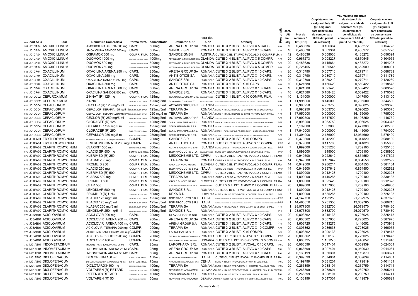|                              |            |                                                  |                                   |                          |                                 |                |                                                                                                                                                                                                                                |      |                      |                            | Val. maxima suportata |                      |                     |
|------------------------------|------------|--------------------------------------------------|-----------------------------------|--------------------------|---------------------------------|----------------|--------------------------------------------------------------------------------------------------------------------------------------------------------------------------------------------------------------------------------|------|----------------------|----------------------------|-----------------------|----------------------|---------------------|
|                              |            |                                                  |                                   |                          |                                 |                |                                                                                                                                                                                                                                |      |                      |                            | Co-plata maxima       | de sistemul de       | Co-plata maxima     |
|                              |            |                                                  |                                   |                          |                                 |                |                                                                                                                                                                                                                                |      |                      |                            | a asiguratului / UT   | asigurari sociale de | a asiguratului / UT |
|                              |            |                                                  |                                   |                          |                                 |                |                                                                                                                                                                                                                                |      |                      |                            | (pt. asiguratii       | sanatate / UT (pt.   | (pt. asiguratii     |
|                              |            |                                                  |                                   |                          |                                 |                |                                                                                                                                                                                                                                |      | Prescriptie<br>cant. |                            | care beneficiaza      | asiguratii care      | care beneficiaza    |
|                              |            |                                                  |                                   |                          |                                 |                |                                                                                                                                                                                                                                |      | UT/                  | Pret de                    | de compensare         | beneficiaza de       | de compensare       |
|                              |            |                                                  |                                   |                          |                                 | tara det.      |                                                                                                                                                                                                                                |      | amb                  | referinta /                | 100% din pretul       | compensare 90% din   | 90% din pretul de   |
| Nr ort. COd ATC              | <b>DCI</b> | <b>Denumire Comerciala</b>                       |                                   | forma farm. concentratie | <b>Detinator APP</b>            | <b>APP</b>     | Ambalaj                                                                                                                                                                                                                        |      | alaj                 | UT (RON)                   | de referinta)         | pretul de referinta) | referinta)          |
| 547 J01CA04 AMOXICILLINUM    |            | AMOXICILINA ARENA 500 mg                         | CAPS.                             | 500 <sub>mg</sub>        |                                 |                | ARENA GROUP SA ROMANIA CUTIE X 2 BLIST. AL/PVC X 5 CAPS.                                                                                                                                                                       |      | P-RF                 | 0,483636<br>10             | 0,106364              | 0,435272             | 0.154728            |
| 548 J01CA04 AMOXICILLINUM    |            | AMOXICILINA SANDOZ 500 mg                        | CAPS.                             | 500 <sub>mg</sub>        | SANDOZ SRL                      |                | ROMANIA CUTIE X 1 BLIST. AL/PVC X 10 CAPS.                                                                                                                                                                                     |      | P-RF                 | 10<br>0,483636             | 0,009364              | 0,435272             | 0,057728            |
| 550 J01CA04 AMOXICILLINUM    |            | OSPAMOX 500 mg                                   | COMPR. FILM. 500mg                |                          | SANDOZ GMBH                     |                | AUSTRIA CUTIE X 2 BLIST. PVC-PVDC/AL X 6 COMPR.FILM-RF                                                                                                                                                                         |      |                      | 12<br>0,483636             | 0,008030              | 0,435272             | 0,056394            |
| 552 J01CA04 AMOXICILLINUM    |            | DUOMOX 1000 mg                                   | COMPR. PT. DISPERSIE ORALA 1000mg |                          |                                 |                | ASTELLAS PHARMA EUROPE BV OLANDA CUTIE X 4 BLIST. AL/PVC X 5 COMPR.                                                                                                                                                            | P-RF |                      | 20<br>0,967273             | 0,008227              | 0,870545             | 0,104955            |
| 554 J01CA04 AMOXICILLINUM    |            | DUOMOX 500 mg                                    | COMPR. PT. DISPERSIE ORALA        | 500 <sub>mg</sub>        |                                 |                | ASTELLAS PHARMA EUROPE BV OLANDA CUTIE X 4 BLIST. AL/PVC X 5 COMPR.                                                                                                                                                            | P-RF |                      | 20<br>0,483636             | 0,115864              | 0,435272             | 0,164228            |
| 555 J01CA04 AMOXICILLINUM    |            | DUOMOX 750 mg                                    | COMPR. PT. DISPERSIE ORALA 750mg  |                          |                                 |                | ASTELLAS PHARMA EUROPE BV OLANDA CUTIE X 4 BLIST. AL/PVC X 5 COMPR.                                                                                                                                                            |      | P-RF                 | 20<br>0,725455             | 0,035545              | 0,652909             | 0,108091            |
| 565 J01CF04 OXACILLINUM      |            | OXACILINA ARENA 250 mg CAPS.                     |                                   | 250 <sub>mg</sub>        |                                 |                | ARENA GROUP SA ROMANIA CUTIE X 2 BLIST. AL/PVC X 10 CAPS.                                                                                                                                                                      |      | P-RF                 | 20<br>0,310790             | 0,057710              | 0,279711             | 0,088789            |
| 566 J01CF04 OXACILLINUM      |            | OXACILINA 250 mg                                 | CAPS.                             | 250 <sub>mg</sub>        | <b>ANTIBIOTICE SA</b>           |                | ROMANIA CUTIE X 2 BLIST. AL/PVC X 10 CAPS.                                                                                                                                                                                     |      | P-RF                 | 20<br>0,310790             | 0,080710              | 0,279711             | 0,111789            |
| 567 J01CF04 OXACILLINUM      |            | OXACILINA SANDOZ 250 mg                          | CAPS.                             | 250 <sub>mg</sub>        | SANDOZ SRL                      |                | ROMANIA CUTIE X 2 BLIST. AL/PVC X 10 CAPS.                                                                                                                                                                                     |      | P-RF                 | 20<br>0,310790             | 0,089210              | 0,279711             | 0,120289            |
| 568 J01CF04 OXACILLINUM      |            | OXACILINA 500 mg                                 | CAPS.                             | 500mg                    | <b>ANTIBIOTICE SA</b>           |                | ROMANIA CUTIE X 1 BLIST. X 10 CAPS.                                                                                                                                                                                            |      | P-RF                 | 10<br>0,621580             | 0,156420              | 0,559422             | 0,218578            |
| 569 J01CF04 OXACILLINUM      |            | OXACILINA ARENA 500 mg CAPS.                     |                                   | 500mg                    |                                 |                | ARENA GROUP SA ROMANIA CUTIE X 1 BLIST. AL/PVC X 10 CAPS.                                                                                                                                                                      |      | P-RF                 | 10<br>0,621580             | 0,021420              | 0,559422             | 0,083578            |
| 570 J01CF04 OXACILLINUM      |            | OXACILINA SANDOZ 500 mg                          | CAPS.                             | 500 <sub>mg</sub>        | SANDOZ SRL                      |                | ROMANIA CUTIE X 1 BLIST. AL/PVC X 10 CAPS.                                                                                                                                                                                     |      | P-RF                 | 10<br>0,621580             | 0,108420              | 0,559422             | 0,170578            |
| 627 J01DC02 CEFUROXIMUM      |            |                                                  |                                   |                          |                                 |                |                                                                                                                                                                                                                                |      |                      | 10                         |                       |                      | 0,113100            |
|                              |            | ZINNAT (R) 125 mg                                | COMPR. FILM. 125mg                |                          |                                 |                | GLAXOWELLCOME UK LTD. MAREA BRITANIE CUTIE X 1 BLIST. X 10 COMPR. FILM.                                                                                                                                                        |      | P-RF                 | 1,131000                   | 0,000000              | 1,017900             |                     |
| 632 J01DC02 CEFUROXIMUM      |            | ZINNAT                                           | GRAN. PT. SUSP. ORALA             | 125mg/5ml                | GLAXO WELLCOME UK LTD.          | MAREA BRITANIE | CUTE CU 1 FLAC, DIN STICLA BRUNA CONTINAND GRANULE PT, 50 ML SUSP, ORALA + 1 MASURA DOZATOARE                                                                                                                                  |      | P-RF                 | 1 11,995000                | 8,145000              | 10,795500            | 9,344500            |
| 646 J01DC04 CEFACLORUM       |            | CECLOR $(R)$ 125 mg/5 ml                         | GRAN. PT. SUSP. ORALA             | 125mg/5ml                |                                 |                | ACTAVIS GROUP HF ISLANDA CUTEX I FUG PED DE CULONE ALBA, CU GRANULE PT. 75 M. SUSP. ORNA + 1 UNGURITA DOZATOARE                                                                                                                |      | P-RF                 | 8,996250<br>$\mathbf{1}$   | 4,933750              | 8,096625             | 5,833375            |
| 647 J01DC04 CEFACLORUM       |            | CEFACLOR TERAPIA 125mg/5ml GRAN. PT. SUSP. ORALA |                                   |                          | 125mg/5ml TERAPIA SA            |                | ROMANIA CUTIE X 1 FLAC. DIN PEID CU GRAN.PT. 75 ML SUSP.ORALA                                                                                                                                                                  |      | P-RF                 | 8,996250<br>$\mathbf{1}$   | 0,063750              | 8,096625             | 0,963375            |
| 648 J01DC04 CEFACLORUM       |            | CEFACLOR TERAPIA 250mg/5ml GRAN. PT. SUSP. ORALA |                                   |                          | 250 mg/5 ml TERAPIA SA          |                | ROMANIA CUTIE X 1 FLAC. DIN PEID CU GRAN. PT. 75 ML SUSP. ORALA                                                                                                                                                                | P-RF |                      | 1 17,950000                | 0,000000              | 16,155000            | 1,795000            |
| 650 J01DC04 CEFACLORUM       |            | CECLOR (R) 250 mg/5 ml                           |                                   |                          |                                 |                | GRAN. PT. SUSP. ORALA $\,$ $\,$ $250mg/5m$ $\,$ $\,$ $\,$ ACTAVIS GROUP HF $\,$ $\,$ ISLANDA cutex frace release clicage alba clicage and as expandie for the alba consail for the alba consail for the subservation consail f |      | P-RF                 | 1 17,992500                | 9,617500              | 16,193250            | 11,416750           |
| 651 J01DC04 CEFACLORUM       |            | CLORACEF (R) 125                                 | PULB. PT. SUSP. ORALA             | 125mg/5ml                | DAR AL DAWA PHARMA S.R.L.       |                | ROMANIA CUTIE X 1 FLAC. CU PULB. PT. 75ML SUSP.+ LINGURITA DOZATOARE                                                                                                                                                           |      | P-RF                 | 8,996250<br>$\mathbf{1}$   | 0,063750              | 8,096625             | 0,963375            |
| 652 J01DC04 CEFACLORUM       |            | CEFAKLOR 125 mg/5 ml                             | PULB. PT. SUSP. ORALA             | 125mg/5ml                | STADA HEMOFARM S.R.L.           |                | ROMANIA CUTIE X 1 FLAC. PULB. PT. 60 ML SUSP. ORALA + O MASURA DOZATOARE                                                                                                                                                       |      | P-RF                 | 7,197000<br>$\mathbf{1}$   | 1,863000              | 6,477300             | 2,582700            |
| 653 J01DC04 CEFACLORUM       |            | CLORACEF (R) 250                                 | PULB. PT. SUSP. ORALA             | 250mg/5ml                | DAR AL DAWA PHARMA S.R.L        |                | ROMANIA CUTIE X 1 FLAC. CU PULB. PT. 75ML SUSP. + LINGURITA DOZATOARE                                                                                                                                                          | P-RF |                      | 1 17,940000                | 0,000000              | 16,146000            | 1,794000            |
| 654 J01DC04 CEFACLORUM       |            | CEFAKLOR 250 mg/5 ml                             | PULB. PT. SUSP. ORALA             | 250mg/5ml                | STADA HEMOFARM S.R.L.           |                | ROMANIA CUTIE X 1 FLAC. PULB. PT. 60 ML SUSP. ORALA + O MASURA DOZATOARE                                                                                                                                                       |      | P-RF                 | 1 14,394000                | 2,136000              | 12,954600            | 3,575400            |
| 667 J01FA01 ERYTHROMYCINUM   |            | ERITROMICINA SANDOZ 200 mg COMPRIMATE            | COMPR.                            | 200 <sub>mg</sub>        | SANDOZ S.R.L.                   |                | ROMANIA CUTIE X 2 BLIST. X 10 COMPR.                                                                                                                                                                                           |      | P-RF                 | 20<br>0,379800             | 0,042200              | 0,341820             | 0,080180            |
| 668 J01FA01 ERYTHROMYCINUM   |            | ERITROMICINA ATB 200 mg COMPR.                   |                                   | 200 <sub>mg</sub>        | <b>ANTIBIOTICE SA</b>           |                | ROMANIA CUTIE CU 2 BLIST. AL/PVC X 10 COMPR.                                                                                                                                                                                   |      | PRF                  | 20<br>0,379800             | 0,117700              | 0,341820             | 0,155680            |
| 669 J01FA09 CLARITHROMYCINUM |            | CLAXIRIT 500 mg                                  | COMPR. CU ELIB. PREL.             | 500 <sub>mg</sub>        |                                 |                | ACTAVIS GROUP PTC EHF. ISLANDA CUTIE CU BLIST. PVC/PVDC//AL X 7 COMPR. CU ELIB. PREL.                                                                                                                                          |      | PRF                  | $\overline{7}$<br>1,899000 | 0,535285              | 1,709100             | 0,725185            |
| 670 J01FA09 CLARITHROMYCINUM |            | KLACID SR 500 mg                                 | COMPR. ELIB. PREL. 500mg          |                          | BGP PRODUCTS LTD.               |                | MAREA BRITANIE CUTIE CU 1 BLIST. PVC/PVDC/AL X 5 COMPR. ELIB. PREL.                                                                                                                                                            |      | PRF                  | 5<br>1,899000              | 1,849000              | 1,709100             | 2,038900            |
| 672 J01FA09 CLARITHROMYCINUM |            | KLERIMED (R) 250                                 | COMPR. FILM. 250mg                |                          | MEDOCHEMIE LTD. CIPRU           |                | CUTIE X 2 BLIST. AL/PVC-PVDC X 7 COMPR. FILMARE                                                                                                                                                                                |      |                      | 14<br>0,949500             | 0,222642              | 0,854550             | 0,317592            |
| 673 J01FA09 CLARITHROMYCINUM |            | KLABAX 250 mg                                    | COMPR. FILM. 250mg                |                          | <b>TERAPIA SA</b>               |                | ROMANIA CUTIE X 1 BLIST. AL/PVC-PVDC X 14 COMPR. FILM.                                                                                                                                                                         |      | P-RF                 | 0,949500<br>14             | 0,137642              | 0,854550             | 0,232592            |
| 674 J01FA09 CLARITHROMYCINUM |            | FROMILID 250                                     | COMPR. FILM. 250mg                |                          | KRKA D.D. NOVO MESTO            |                | SLOVENIA CUTIE X 2 BLIST. PVC-PVDC/AL X 7 COMPR. FILMARE                                                                                                                                                                       |      |                      | 0,949500<br>14             | 0,286214              | 0,854550             | 0,381164            |
| 677 J01FA09 CLARITHROMYCINUM |            | KLACID 250 mg                                    | COMPR. FILM. 250mg                |                          | BGP PRODUCTS S.R.L. ITALIA      |                | CUTIE CU 1 BLIST. PVC-PVDC/AL X 14 COMPR. FILM.                                                                                                                                                                                |      | 14<br>PRF            | 0,949500                   | 0,997642              | 0,854550             | 1,092592            |
| 678 J01FA09 CLARITHROMYCINUM |            | KLERIMED (R) 500                                 | COMPR. FILM. 500mg                |                          | MEDOCHEMIE LTD. CIPRU           |                | CUTIE X 2 BLIST. AL/PVC-PVDC X 7 COMPR. FILMRF                                                                                                                                                                                 |      |                      | 14<br>1,899000             | 0,012428              |                      | 0,202328            |
| 679 J01FA09 CLARITHROMYCINUM |            |                                                  |                                   |                          | <b>TERAPIA SA</b>               |                |                                                                                                                                                                                                                                |      |                      | 1,899000                   |                       | 1,709100             | 0,330185            |
|                              |            | KLABAX 500 mg                                    | COMPR. FILM. 500mg                |                          |                                 |                | ROMANIA CUTIE X 1 BLIST. AL/PVC-PVDC X 14 COMPR. FILM.                                                                                                                                                                         |      | P-RF                 | 14                         | 0,140285              | 1,709100             |                     |
| 680 J01FA09 CLARITHROMYCINUM |            | FROMILID 500                                     | COMPR. FILM. 500mg                |                          | KRKA D.D. NOVO MESTO            |                | SLOVENIA CUTIE X 2 BLIST. PVC-PVDC/AL X 7 COMPR. FILMARF                                                                                                                                                                       |      |                      | 14<br>1,899000             | 0,022428              | 1,709100             | 0,212328            |
| 682 J01FA09 CLARITHROMYCINUM |            | <b>CLAR 500</b>                                  | COMPR. FILM. 500mg                |                          | GLENMARK PHARMACEUTICALS S.R.O. |                | REPUBLICA CEHA CUTIE X 5 BLIST. AL/PVC X 4 COMPR. FILM.P-RF                                                                                                                                                                    |      |                      | 20<br>1,899000             | 0,457000              | 1,709100             | 0,646900            |
| 683 J01FA09 CLARITHROMYCINUM |            | LEKOKLAR 500 mg                                  | COMPR. FILM. 500mg                |                          | SANDOZ S.R.L.                   |                | ROMANIA CUTIE CU BLIST. PVC/PVDC-AL X 14 COMPR. FILMAF                                                                                                                                                                         |      | 14                   | 1,899000                   | 0,012428              | 1,709100             | 0,202328            |
| 685 J01FA09 CLARITHROMYCINUM |            | FROMILID (R) UNO                                 | COMPR. FILM. ELIB. PREL. 500mg    |                          | KRKA D.D.                       |                | SLOVENIA CUTIE X 1 BLIST. PVC-PVDC/AL X 7 COMPR. FILM. ELIB. PREL. P-RF                                                                                                                                                        |      |                      | $\overline{7}$<br>1,899000 | 0,535285              | 1,709100             | 0,725185            |
| 687 J01FA09 CLARITHROMYCINUM |            | KLACID 125 mg/5 ml                               | GRAN. PT. SUSP. ORALA             | 125mg/5ml                | BGP PRODUCTS S.R.L. ITALIA      |                | CUTIE CU 1 FLAC. PEID CU GRANULE PT. 100 ML SUSP. ORALA + 1 LINGURITA DOZATOARE X 2,5 ML5 MPRF                                                                                                                                 |      |                      | 1 24,147750                | 2,122250              | 21,732975            | 4,537025            |
| 690 J01FA09 CLARITHROMYCINUM |            | KLACID 125 mg/5 ml                               | GRAN. PT. SUSP. ORALA             | 125mg/5ml                | BGP PRODUCTS S.R.L. ITALIA      |                | CUTIE CU 1 FLAC. PEID CU GRANULE PT. 60 ML SUSP. ORALA + 1 LINGURITA DOZATOARE X 2,5 ML/5 ML PRF                                                                                                                               |      |                      | 1 14,488650                | 5,231350              | 13,039785            | 6,680215            |
| 692 J01FA09 CLARITHROMYCINUM |            | KLABAX 250 mg/5 ml                               | GRAN. PT. SUSP. ORALA             | 250mg/5ml                | <b>TERAPIA SA</b>               |                | ROMANIA CUTIE X 1 FLAC. PEID X 42 G GRAN. PT. 60 ML SUSP. ORALA                                                                                                                                                                | P-RF |                      | 1 28,977300                | 3,892700              | 26,079570            | 6,790430            |
| 693 J01FA09 CLARITHROMYCINUM |            | LEKOKLAR 250 mg/5 ml                             | GRAN. PT. SUSP. ORALA             | 250mg/5ml                | SANDOZ S.R.L.                   | <b>ROMANIA</b> |                                                                                                                                                                                                                                |      | PRF                  | 1 28,977300                | 0,882700              | 26,079570            | 3,780430            |
| 770 J05AB01 ACICLOVIRUM      |            | ACICLOVIR 200 mg                                 | CAPS.                             | 200 <sub>mg</sub>        |                                 |                | SLAVIA PHARM SRL ROMANIA CUTIE X 2 BLIST, AL/PVC X 10 CAPS.                                                                                                                                                                    |      | P-RF                 | 20<br>0,803362             | 0,245138              | 0,723025             | 0,325475            |
| 771 J05AB01 ACICLOVIRUM      |            | ACICLOVIR ARENA 200 mg CAPS.                     |                                   | 200 <sub>mg</sub>        |                                 |                | ARENA GROUP SA ROMANIA CUTIE X 2 BLIST. AL/PVC X 10 CAPS.                                                                                                                                                                      |      | P-RF                 | 20<br>0,803362             | 0,307638              | 0,723025             | 0,387975            |
| 772 J05AB01 ACICLOVIRUM      |            | ACICLOVIR ARENA 400 mg CAPS.                     |                                   | 400 <sub>mg</sub>        | ARENA GROUP S.A.                |                | ROMANIA CUTIE X 1 BLIST. AL/PVC X 10 CAPS.                                                                                                                                                                                     |      | P-RF                 | 10<br>1,606725             | 0,413275              | 1,446052             | 0,573948            |
| 773 J05AB01 ACICLOVIRUM      |            | ACICLOVIR TERAPIA 200 mg COMPR.                  |                                   | 200 <sub>mg</sub>        | <b>TERAPIA SA</b>               |                | ROMANIA CUTIE X 2 BLIST. AL/PVC X 10 COMPR.                                                                                                                                                                                    | P-RF |                      | 0,803362<br>20             | 0,086638              | 0,723025             | 0,166975            |
| 776 J05AB01 ACICLOVIRUM      |            | ACICLOVIR LAROPHARM 200 mg COMPR.                |                                   | 200 <sub>mg</sub>        |                                 |                | LAROPHARM S.R.L. ROMANIA CUTIE X 2 BLIST. X 10 COMPR.                                                                                                                                                                          |      | P-RF                 | 20<br>0,803362             | 0,090138              | 0,723025             | 0,170475            |
| 777 J05AB01 ACICLOVIRUM      |            | ACICLOVIR-RICHTER 200 mg COMPR.                  |                                   | 200mg                    |                                 |                | GEDEON RICHTER ROMANIA SA ROMANIA CUTIE CU 2 BLIST. AL/PVC X 10 COMPR.                                                                                                                                                         |      | PRF                  | 20<br>0,803362             | 0,090138              | 0,723025             | 0,170475            |
| 778 J05AB01 ACICLOVIRUM      |            | ACICLOVIR 400 mg                                 | COMPR.                            | 400 <sub>mg</sub>        |                                 |                | EGIS PHARMACEUTICALS P.L.C. UNGARIA CUTIE X 2 BLIST. PVC-PVDC/AL X 5 COMPR P-RF                                                                                                                                                |      |                      | 1,606725<br>10             | 1,151275              | 1,446052             | 1,311948            |
| 780 M01AB01 INDOMETACINUM    |            | INDOMETACIN LAROPHARM 25 mg                      | CAPS.                             | 25mg                     |                                 |                | LAROPHARM SRL ROMANIA CUTIE X 2 BLIST., PVC/AL, X 10 CAPS. P-6L                                                                                                                                                                |      | 20                   | 0,066599                   | 0,017401              | 0,059939             | 0,024061            |
| 781 M01AB01 INDOMETACINUM    |            | INDOMETACIN ARENA 25 MG CAPS.                    |                                   | 25mg                     |                                 |                | ARENA GROUP SA ROMANIA CUTIE X 3 BLIST. AL/PVC X 10 CAPS.                                                                                                                                                                      |      | 30<br>$P-6L$         | 0,066599                   | 0,007401              | 0,059939             | 0.014061            |
| 782 M01AB01 INDOMETACINUM    |            | INDOMETACIN ARENA 50 MG CAPS.                    |                                   |                          |                                 |                | ARENA GROUP SA ROMANIA CUTIE X 2 BLIST. AL/PVC X 10 CAPS.                                                                                                                                                                      |      | 20                   | 0,133199                   | 0,050301              | 0,119879             | 0,063621            |
| 786 M01AB05 DICLOFENACUM     |            | DICLOREUM 150 mg                                 | CAPS. ELIB. PREL. 150mg           | 50 <sub>mg</sub>         |                                 |                |                                                                                                                                                                                                                                |      | $P-6L$               | 0,399599                   | 2,074901              |                      | 2,114861            |
|                              |            |                                                  |                                   |                          |                                 |                | ALFA WASSERMANN SPA <b>ITALIA         CUTIE CU 2 BLIST. PVC/AL X 10 CAPS. ELIB. PREE</b> L                                                                                                                                     |      |                      | 20                         |                       | 0,359639             |                     |
| 787 M01AB05 DICLOFENACUM     |            | DICLOFENAC DUO PHARMASWISS 75 mg                 | CAPS. ELIB. PREL. 75mg            |                          |                                 |                | PHARMASWISS CESKA REPUBLIKA S.R.O. CEHIA CUTIE X 3 BLIST. PVC/PVDC/AL X 10 CAPS. ELIB. PREL                                                                                                                                    |      | $P-6L$               | 0,199799<br>30             | 0,381201              | 0,179819             | 0,401181            |
| 788 M01AB05 DICLOFENACUM     |            | DICLOTARD® 100 mg                                | COMPR. CU ELIB. PREL. 100mg       |                          | <b>TERAPIA SA</b>               |                | ROMANIA CUTIE X 2 BLIST. PVC-PVDC/AL X 10 COMPR. FILM. ELIB. PREL P-6L                                                                                                                                                         |      | 20                   | 0,266399                   | 0,088101              | 0,239759             | 0,114741            |
| 790 M01AB05 DICLOFENACUM     |            | <b>VOLTAREN (R) RETARD</b>                       | COMPR. FILM. ELIB. PREL. 100mg    |                          |                                 |                | NOVARTIS PHARMA GMBH GERMANIACUTIE X 1 BLIST. PVC-PE-PVDC/AL. X 10 COMPR. FILM. ELIB. PREIP-6L                                                                                                                                 |      |                      | 0,266399<br>10             | 0,278601              | 0,239759             | 0,305241            |
| 791 M01AB05 DICLOFENACUM     |            | REFEN (R) RETARD                                 | COMPR. FILM. ELIB. PREL. 100mg    |                          | STADA HEMOFARM S.R.L.           |                | ROMANIA CUTIE X 2 BLIST. PVC/AL X 10 COMPR. FILM. ELIB. PREL.                                                                                                                                                                  |      | 20<br>$P-6L$         | 0,266399                   | 0,088101              | 0,239759             | 0,114741            |
| 792 M01AB05 DICLOFENACUM     |            | VOLTAREN (R) 50                                  | COMPR. FILM. GASTROREZ 50mg       |                          |                                 |                | NOVARTIS PHARMA GMBH GERMANIACUTIE X 2 BLIST. PVC-PE-PVDC/AL X 10 COMPR. FILM. GASTROREZ.                                                                                                                                      |      | $P-6L$               | 20<br>0,133199             | 0,047301              | 0,119879             | 0,060621            |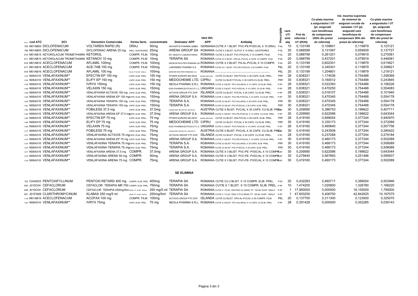|                                                   |                                              |                       |                          |                                 | tara det.  |                                                                                                                               | aiptie | cant.<br>UT/<br>amb | Pret de<br>referinta / | Co-plata maxima<br>a asiguratului / UT<br>(pt. asiguratii<br>care beneficiaza<br>de compensare<br>100% din pretul | Val. maxima suportata<br>de sistemul de<br>asigurari sociale de<br>sanatate / UT (pt.<br>asiguratii care<br>beneficiaza de<br>compensare 90% din | Co-plata maxima<br>a asiguratului / UT<br>(pt. asiguratii<br>care beneficiaza<br>de compensare<br>90% din pretul de |
|---------------------------------------------------|----------------------------------------------|-----------------------|--------------------------|---------------------------------|------------|-------------------------------------------------------------------------------------------------------------------------------|--------|---------------------|------------------------|-------------------------------------------------------------------------------------------------------------------|--------------------------------------------------------------------------------------------------------------------------------------------------|---------------------------------------------------------------------------------------------------------------------|
| <b>DCI</b><br>Neerl. COd ATC                      | <b>Denumire Comerciala</b>                   |                       | forma farm. concentratie | <b>Detinator APP</b>            | <b>APP</b> | Ambalai                                                                                                                       | ò      | alai                | UT (RON)               | de referinta)                                                                                                     | pretul de referinta)                                                                                                                             | referinta)                                                                                                          |
| 795 M01AB05 DICLOFENACUM                          | <b>VOLTAREN RAPID (R)</b>                    | DRAJ.                 | 50 <sub>mq</sub>         | NOVARTIS PHARMA GMBH            |            | GERMANIA CUTIE X 1 BLIST. PVC-PE-PVDC/AL X 10 DRAJ.                                                                           | $P-6L$ | 10                  | 0,133199               | 0,109801                                                                                                          | 0,119879                                                                                                                                         | 0,123121                                                                                                            |
| 796 M01AB05 DICLOFENACUM                          | DICLOFENAC ARENA 25 mg                       | DRAJ. GASTROREZ. 25mg |                          | ARENA GROUP SA                  |            | ROMANIA CUTIE X 3 BLIST. AL/PVC X 10 DRAJ. GASTROREZ.                                                                         | P-6L   | 30                  | 0.066599               | 0,131067                                                                                                          | 0,059939                                                                                                                                         | 0,137727                                                                                                            |
| 810 M01AB15 KETOROLACUM TROMETHAMIN KETOROL       |                                              | COMPR. FILM. 10mg     |                          | DR. REDDY'S LABORATORIES        |            | ROMANIA CUTIE X 2 BLIST. PVC-PVDC/AL X 10 COMPR. FILM.                                                                        | $P-6L$ | 20                  | 0.088799               | 0.261201                                                                                                          | 0.079919                                                                                                                                         | 0.270081                                                                                                            |
| 811 M01AB15 KETOROLACUM TROMETHAMIN KETANOV 10 mg |                                              | COMPR. FILM. 10mg     |                          | <b>TERAPIA SA</b>               |            | ROMANIA CUTIE CU 2 BLIST. OPA-AL-PVC/AL A CATE 10 COMPR. FILM.                                                                | P-6L   | 20                  | 0,088799               | 0,437201                                                                                                          | 0,079919                                                                                                                                         | 0,446081                                                                                                            |
| 816 M01AB16 ACECLOFENACUM                         | AFLAMIL 100mg                                | COMPR. FILM. 100mg    |                          |                                 |            | GEDEON RICHTER ROMANIA SA ROMANIA CUTIE X 2 BLIST. PA-AL-PVC/AL X 10 COMPR.                                                   | P-6L   | 20                  | 0,133199               | 0,602301                                                                                                          | 0,119879                                                                                                                                         | 0,615621                                                                                                            |
| 817 M01AB16 ACECLOFENACUM                         | ACE-TAB 100 mg                               | COMPR. FILM. 100mg    |                          | LABORMED PHARMA S.A.            |            | ROMANIA CUTIE CU 1 BLIST. PVC-PE-PVDC/AL X 20 COMPR. FILM.                                                                    | P6L    | 20                  | 0,133199               | 0,345301                                                                                                          | 0,119879                                                                                                                                         | 0,358621                                                                                                            |
| 818 M01AB16 ACECLOFENACUM                         | AFLAMIL 100 mg                               | PULB. PT.SUSP. ORALA  | 100mg                    | GEDEON RICHTER ROMANIA S.A.     |            | ROMANIA OTE CI 20 PLCAU UNICOLOR UN'TITAL COMPARE DI PROVIDE LA COMPARE DI ETRA DELL'INSETTE ALLINNIA (DO MA) IL PLAUDIN PLAO | P6L    | 20                  | 0,133199               | 1.204801                                                                                                          | 0.119879                                                                                                                                         | 1,218121                                                                                                            |
| 1.053 N06AX16 VENLAFAXINUM**                      | EFECTIN EP 150 mg                            | CAPS. ELIB. PREL.     | 150 mg                   | PFIZER EUROPE MA EEIG           |            | MAREA BRITANIE CUTIE CU BLIST, DIN PVC/AL X 28 CAPS, ELIB, PREL                                                               | PRF    | 28                  | 0.838321               | 1.174536                                                                                                          | 0.754488                                                                                                                                         | 1.258369                                                                                                            |
| 1.054 N06AX16 VENLAFAXINUM**                      | ELIFY EP 150 mg                              | CAPS. ELIB. PREL.     | 150 mg                   | MEDOCHEMIE LTD. CIPRU           |            | CUTIE CU BLIST PVC/AL X 30 CAPS.CU ELIB. PREL.                                                                                | PRF    | -30                 | 0,838321               | 0,160012                                                                                                          | 0,754488                                                                                                                                         | 0.243845                                                                                                            |
| 1.055 N06AX16 VENLAFAXINUM**                      | IVRYX 150mg                                  | CAPS. ELIB. PREL.     | 150 mg                   |                                 |            | NEOLA PHARMA S.R.L. ROMANIA CUTIE X 2 BLIST. PCV-ACLAR/AL X 14 CAPS. CU ELIB. PREL.                                           | P-RF   | 28                  | 0,838321               | 0,022393                                                                                                          | 0,754488                                                                                                                                         | 0,106226                                                                                                            |
| 1.056 N06AX16 VENLAFAXINUM**                      | VELAXIN 150 mg                               | CAPS. ELIB. PREL.     | 150 <sub>mg</sub>        |                                 |            | EGIS PHARMACEUTICALS P.L.C. UNGARIA CUTIE X 2 BLIST. PVC-PVDC/AL X 14 CAPS. CU ELIB. PREL.                                    | P-RF   | 28                  | 0,838321               | 0,470250                                                                                                          | 0,754488                                                                                                                                         | 0.554083                                                                                                            |
| 1.058 N06AX16 VENLAFAXINUM**                      | VENLAFAXINA ACTAVIS 150 mg CAPS. ELIB. PREL. |                       | 150 <sub>mg</sub>        |                                 |            | ACTAVIS GROUP PTC EHF. ISLANDA CUTIE CU BLIST. PVC/AL X 28 CAPS. CU ELIB. PREL.                                               | P-RF   | 28                  | 0.838321               | 0.018107                                                                                                          | 0.754488                                                                                                                                         | 0.101940                                                                                                            |
| 1.059 N06AX16 VENLAFAXINUM**                      | VENLAFAXINA ARENA EP 150 mgcaps. ELIB. PREL. |                       | 150 <sub>ma</sub>        | ARENA GROUP S.A.                |            | ROMANIA CUTIE X 3 BLIST. PVC-PE-PVDC/AL X 10 CAPS. CU ELIB. PREL.                                                             | P-RF   | 30                  | 0.838321               | 0.470345                                                                                                          | 0.754488                                                                                                                                         | 0.554178                                                                                                            |
| 1.060 N06AX16 VENLAFAXINUM**                      | VENLAFAXINA TERAPIA 150 mg CAPS. ELIB. PREL. |                       | 150 <sub>mg</sub>        | <b>TERAPIA S.A.</b>             |            | ROMANIA CUTIE CU BLIST. PVC-ACLAR/AL X 30 CAPS. ELIB. PREL                                                                    | PRF    | 30                  | 0,838321               | 0,470345                                                                                                          | 0,754488                                                                                                                                         | 0.554178                                                                                                            |
| 1.061 N06AX16 VENLAFAXINUM**                      | VENLAFAXINA TERAPIA 150 mg CAPS. ELIB. PREL. |                       | 150 <sub>mg</sub>        | <b>TERAPIA S.A.</b>             |            | ROMANIA CUTIE CU BLIST. PVC-PVDC/AL X 30 CAPS. ELIB. PREL.                                                                    | PRF    | 30                  | 0.838321               | 0.470345                                                                                                          | 0.754488                                                                                                                                         | 0.554178                                                                                                            |
| 1.063 N06AX16 VENLAFAXINUM**                      | FOBILESS 37,5 mg                             | CAPS, ELIB, PREL.     | 37,5mg                   | LANNACHER HEILMITTEL GES.M.B.H. |            | AUSTRIA CUTIE X BLIST, PVC/AL X 30 CAPS, CU ELIB, PREEF                                                                       |        | 30                  | 0.209580               | 0.386753                                                                                                          | 0.188622                                                                                                                                         | 0.407711                                                                                                            |
| 1.064 N06AX16 VENLAFAXINUM**                      | VENLAFAXINA ARENA EP 37,5 mgAPS. ELIB. PREL. |                       | 37,5mg                   | ARENA GROUP S.A.                |            | ROMANIA CUTIE X 3 BLIST. PVC-PE-PVDC/AL X 10 CAPS. CU ELIB. PREL.                                                             | P-RF   | 30                  | 0,209580               | 0,622086                                                                                                          | 0,188622                                                                                                                                         | 0,643044                                                                                                            |
| 1.065 N06AX16 VENLAFAXINUM**                      | EFECTIN EP 75 mg                             | CAPS. ELIB. PREL.     | 75 mg                    | PFIZER EUROPE MA EEIG           |            | MAREA BRITANIE CUTIE CU BLIST. DIN PVC/AL X 28 CAPS. ELIB. PREL.                                                              | PRF    | 28                  | 0.419160               | 0,899054                                                                                                          | 0,377244                                                                                                                                         | 0.940970                                                                                                            |
| 1.066 N06AX16 VENLAFAXINUM**                      | ELIFY EP 75 mg                               | CAPS. ELIB. PREL.     | 75 mg                    | MEDOCHEMIE LTD. CIPRU           |            | CUTIE CU BLIST, PVC/AL X 30 CAPS, CU ELIB, PREL.                                                                              | PRF    | 30                  | 0.419160               | 0,330173                                                                                                          | 0.377244                                                                                                                                         | 0.372089                                                                                                            |
| 1.069 N06AX16 VENLAFAXINUM**                      | VELAXIN 75 mg                                | CAPS. ELIB. PREL.     | 75 <sub>mq</sub>         |                                 |            | EGIS PHARMACEUTICALS P.L.C. UNGARIA CUTIE X 2 BLIST. PVC-PVDC/AL X 14 CAPS. CU ELIB. PREL                                     | P-RF   | 28                  | 0,419160               | 0,465840                                                                                                          | 0,377244                                                                                                                                         | 0,507756                                                                                                            |
| 1.071 N06AX16 VENLAFAXINUM**                      | FOBILESS 75 mg                               | CAPS. ELIB. PREL.     | 75 <sub>mg</sub>         | LANNACHER HEILMITTEL GES.M.B.H. |            | AUSTRIA CUTIE X BLIST. PVC/AL X 30 CAPS. CU ELIB. PREEF                                                                       |        | 30                  | 0.419160               | 0,243506                                                                                                          | 0.377244                                                                                                                                         | 0,285422                                                                                                            |
| 1.072 N06AX16 VENLAFAXINUM**                      | VENLAFAXINA ACTAVIS 75 mg aps. ELIB. PREL.   |                       | 75 <sub>mg</sub>         | ACTAVIS GROUP PTC EHF.          |            | <b>ISLANDA CUTIE CU BLIST. PVC/AL X 28 CAPS. CU ELIB. PREL.</b>                                                               | P-RF   | 28                  | 0.419160               | 0.237268                                                                                                          | 0.377244                                                                                                                                         | 0.279184                                                                                                            |
| 1.073 N06AX16 VENLAFAXINUM**                      | VENLAFAXINA ARENA EP 75 mg caps. ELIB. PREL. |                       | 75 <sub>mq</sub>         | ARENA GROUP S.A.                |            | ROMANIA CUTIE X 3 BLIST. PVC-PE-PVDC/AL X 10 CAPS. CU ELIB. PREL.                                                             | P-RF   | 30                  | 0.419160               | 0.460173                                                                                                          | 0.377244                                                                                                                                         | 0.502089                                                                                                            |
| 1.074 N06AX16 VENLAFAXINUM**                      | VENLAFAXINA TERAPIA 75 mg aps. ELIB. PREL.   |                       | 75ma                     | <b>TERAPIA S.A.</b>             |            | ROMANIA CUTIE CU BLIST. PVC-ACLAR/AL X 30 CAPS. ELIB. PREL.                                                                   | PRF    | 30                  | 0.419160               | 0.466173                                                                                                          | 0.377244                                                                                                                                         | 0.508089                                                                                                            |
| 1.075 N06AX16 VENLAFAXINUM**                      | VENLAFAXINA TERAPIA 75 mg APS. ELIB. PREL.   |                       | 75 <sub>mq</sub>         | <b>TERAPIA S.A.</b>             |            | ROMANIA CUTIE CU BLIST. PVC-PVDC/AL X 30 CAPS. ELIB. PREL.                                                                    | PRF    | 30                  | 0,419160               | 0,466173                                                                                                          | 0,377244                                                                                                                                         | 0,508089                                                                                                            |
| 1.077 N06AX16 VENLAFAXINUM**                      | VENLAFAXINA ARENA 37,5 mg COMPR.             |                       | 37,5mg                   | ARENA GROUP S.A.                |            | ROMANIA CUTIE X 3 BLIST, PVC-PE- PVDC/AL X 10 COMPR-RF                                                                        |        | 30                  | 0.209580               | 0.622086                                                                                                          | 0,188622                                                                                                                                         | 0.643044                                                                                                            |
| 1.078 N06AX16 VENLAFAXINUM**                      | VENLAFAXINA ARENA 50 mg COMPR.               |                       | 50 <sub>mg</sub>         | ARENA GROUP S.A.                |            | ROMANIA CUTIE X 3 BLIST. PVC-PE- PVDC/AL X 10 COMPR-RF                                                                        |        | 30                  | 0.279440               | 0.567893                                                                                                          | 0.251496                                                                                                                                         | 0.595837                                                                                                            |
| 1.079 N06AX16 VENLAFAXINUM**                      | VENLAFAXINA ARENA 75 mg COMPR.               |                       | 75ma                     |                                 |            | ARENA GROUP S.A. ROMANIA CUTIE X 3 BLIST. PVC-PE- PVDC/AL X 10 COMPRARE                                                       |        | 30                  | 0.419160               | 0.460173                                                                                                          | 0.377244                                                                                                                                         | 0.502089                                                                                                            |
|                                                   |                                              |                       |                          | <b>SE ELIMINA</b>               |            |                                                                                                                               |        |                     |                        |                                                                                                                   |                                                                                                                                                  |                                                                                                                     |

|  | SE ELIMINA |  |
|--|------------|--|
|  |            |  |
|  |            |  |

| 153 C04AD03 PENTOXIFYLLINUM  | PENTOXI RETARD 400 mg COMPR. ELIB. PREL. 400mg                          |                         | <b>TERAPIA SA</b>                          | ROMANIA CUTIE CU 2 BLIST. X 10 COMPR. ELIB. PREL. P-6L                                   | 20     | 0.432283  | 0.460717 | 0.389054  | 0.503946  |
|------------------------------|-------------------------------------------------------------------------|-------------------------|--------------------------------------------|------------------------------------------------------------------------------------------|--------|-----------|----------|-----------|-----------|
| 642 J01DC04 CEFACLORUM       | CEFACLOR TERAPIA MR 750 COMPR. ELIB. PREL. 750mg                        |                         | <b>TERAPIA SA</b>                          | ROMANIA CUTIE X 1 BLIST, X 10 COMPR, ELIB, PREL, P-RF                                    | 10     | 1.474200  | 1.020800 | 1.326780  | 1.168220  |
| 649 J01DC04 CEFACLORUM       | CEFACLOR TERAPIA 250mg/5ml GRAN, PT. SUSP. ORALA 250 mg/5 ml TERAPIA SA |                         |                                            | ROMANIA CUTIE X 1 FLAC. DIN PEID CU GRAN. PT. 100 ML SUSP. ORALA P-RF                    |        | 17.950000 | 0.000000 | 16.155000 | 1.795000  |
| 691 J01FA09 CLARITHROMYCINUM | KLABAX 250 mg/5 ml                                                      |                         | gran. Pt. susp. orala 250mq/5m1 TERAPIA SA | ROMANIA CUTIE X 1 FLAC. PEID X 70 G GRAN. PT. 100 ML SUSP. ORALA P-RF                    |        | 47.603250 | 5,406750 | 42,842925 | 10,167075 |
| 1.149 M01AB16 ACECLOFENACUM  | ACOFAX 100 mg                                                           | COMPR. FILM. 100mg      |                                            | ACTAVIS GROUP PTC EHF. ISLANDA CUTIE CU BLIST. OPA-AL-PVC/AL X 20 COMPR. FILM.           | P6L 20 | 0.137700  | 0.311300 | 0.123930  | 0.325070  |
| 1.067 N06AX16 VENLAFAXINUM** | IVRYX 75ma                                                              | CAPS. ELIB. PREL. 75 mg |                                            | NEOLA PHARMA S.R.L. ROMANIA CUTIE X 2 BLIST. PCV-ACLAR/AL X 14 CAPS. CU ELIB. PREL. P-RF | -28    | 0.391428  | 0.000000 | 0.352285  | 0.039143  |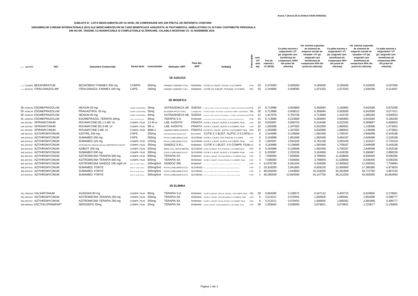#### **SUBLISTA B - LISTA MEDICAMENTELOR CU NIVEL DE COMPENSARE 50% DIN PRETUL DE REFERINTA CONFORM**

#### **DENUMIRILOR COMUNE INTERNATIONALE (DCI) ALE MEDICAMENTELOR DE CARE BENEFICIAZA ASIGURATII, IN TRATAMENTUL AMBULATORIU CU SI FARA CONTRIBUTIE PERSONALA DIN HG NR. 720/2008, CU MODIFICARILE SI COMPLETARILE ULTERIOARE, VALABILA INCEPAND CU 01 NOIEMBRIE 2016**

| Nr. cn COd ATC               | DCI | <b>Denumire Comerciala</b>                    | forma farm. concentratie |                   | <b>Detinator APP</b>        | Tara det.<br><b>APP</b>                                                                       | Ambalai                                                                                     | tie<br>٤ | cant.<br>UT/<br>amb<br>alai | Pret de<br>referinta /<br>UT (RON) | Co-plata maxima a<br>asiguratului / UT<br>(pt. asiguratii care<br>beneficiaza de<br>compensare 100%<br>din pretul de<br>referinta) | Val. maxima suportata<br>de sistemul de<br>asigurari sociale de<br>sanatate / UT (pt.<br>asiguratii care<br>beneficiaza de<br>compensare 50% din<br>pretul de referinta) | Co-plata maxima a<br>asiguratului / UT<br>(pt. asiguratii care<br>beneficiaza de<br>compensare 50%<br>din pretul de<br>referinta) | Val. maxima suportata<br>de sistemul de<br>asigurari sociale de<br>sanatate / UT (pt.<br>asiguratii care<br>beneficiaza de<br>compensare 90% din<br>pretul de referinta) | Co-plata maxima a<br>asiguratului / UT<br>(pt. asiguratii care<br>beneficiaza de<br>compensare 90%<br>din pretul de<br>referinta) |
|------------------------------|-----|-----------------------------------------------|--------------------------|-------------------|-----------------------------|-----------------------------------------------------------------------------------------------|---------------------------------------------------------------------------------------------|----------|-----------------------------|------------------------------------|------------------------------------------------------------------------------------------------------------------------------------|--------------------------------------------------------------------------------------------------------------------------------------------------------------------------|-----------------------------------------------------------------------------------------------------------------------------------|--------------------------------------------------------------------------------------------------------------------------------------------------------------------------|-----------------------------------------------------------------------------------------------------------------------------------|
|                              |     |                                               |                          |                   |                             |                                                                                               |                                                                                             |          |                             |                                    |                                                                                                                                    |                                                                                                                                                                          |                                                                                                                                   |                                                                                                                                                                          |                                                                                                                                   |
|                              |     |                                               |                          |                   | <b>SE ADAUGA</b>            |                                                                                               |                                                                                             |          |                             |                                    |                                                                                                                                    |                                                                                                                                                                          |                                                                                                                                   |                                                                                                                                                                          |                                                                                                                                   |
| 1121 C10AB02 BEZAFIBRATUM    |     | BEZAFIBRAT FARMEX 200 mg                      | COMPR.                   | 200 <sub>mq</sub> |                             | FARMEX COMPANY S.R.L. ROMANIA CUTIE CU 2 BLIST, PVC/AL X 10 COMPR.                            |                                                                                             | $P-6L$   | 20                          | 0.370000                           | 0.000000                                                                                                                           | 0.185000                                                                                                                                                                 | 0.185000                                                                                                                          | 0,333000                                                                                                                                                                 | 0.037000                                                                                                                          |
| 1.122 J02AC02 ITRACONAZOLUM* |     | ITRACONAZOL FARMEX 100 mg                     | CAPS.                    | 100 <sub>mg</sub> |                             |                                                                                               | FARMEX COMPANY S.R.L. ROMANIA CUTIE CU 3 BLIST. PVCA/AL X 5 CAPS.                           | PRF      | 15                          | 2.144666                           | 0,000000                                                                                                                           | 1,072333                                                                                                                                                                 | 1,072333                                                                                                                          | 1,930199                                                                                                                                                                 | 0,214467                                                                                                                          |
|                              |     |                                               |                          |                   | <b>SE MODIFICA</b>          |                                                                                               |                                                                                             |          |                             |                                    |                                                                                                                                    |                                                                                                                                                                          |                                                                                                                                   |                                                                                                                                                                          |                                                                                                                                   |
| 30 A02BC05 ESOMEPRAZOLUM     |     | NEXIUM 20 ma                                  | COMPR. GASTROREZ. 20mg   |                   |                             |                                                                                               | ASTRAZENECA AB SUEDIA CUTIE CU 2 BLIST, ALPYC-AL-POLIAMIDA X 7 COMPR. GASTROREZISTENTE P-6L |          | -14                         | 0.713988                           | 0,803869                                                                                                                           | 0,356994                                                                                                                                                                 | 1.160863                                                                                                                          | 0,642589                                                                                                                                                                 | 0.875268                                                                                                                          |
| 35 A02BC05 ESOMEPRAZOLUM     |     | PRAGASTROL 20 mg                              | COMPR. GASTROREZ. 20mg   |                   | ALVOGEN IPCO S.A.R.L        |                                                                                               | LUXEMBOURG CUTIE CU BLIST. AL-PVC/AL X 30 (3X10) COMPR. GASTROREZ. P6L                      |          | 30                          | 0.713988                           | 0,006012                                                                                                                           | 0,356994                                                                                                                                                                 | 0.363006                                                                                                                          | 0,642589                                                                                                                                                                 | 0.077411                                                                                                                          |
| 36 A02BC05 ESOMEPRAZOLUM     |     | NEXIUM 40 ma                                  | COMPR. GASTROREZ. 40mg   |                   |                             |                                                                                               | ASTRAZENECA AB SUEDIA GUTIE GUZ BLIST, ALPVC-AL-POLLAMIDA X 7 COMPR. GASTROREZISTENTE P-6L  |          | 14                          | 1.427978                           | 0,702736                                                                                                                           | 0.713989                                                                                                                                                                 | 1.416725                                                                                                                          | 1.285180                                                                                                                                                                 | 0.845534                                                                                                                          |
| 41 A02BC05 ESOMEPRAZOLUM     |     | ESOMEPRAZOL TERAPIA 20mg                      | COMPR. GASTROREZISTENTE  | 20 <sub>mq</sub>  | <b>TERAPIA S.A.</b>         |                                                                                               | ROMANIA CUTIE CU BLIST, OPA-AL-PE-DESIGNAT-PEIDIAL X 14 COMPR. GASTROREZISTENTE             | $P - 6L$ | -14                         | 0.713988                           | 0,223869                                                                                                                           | 0,356994                                                                                                                                                                 | 0,580863                                                                                                                          | 0,642589                                                                                                                                                                 | 0.295268                                                                                                                          |
| 645 J01FA02 SPIRAMYCINUM     |     | ROVAMYCINE (R) 1,5 Mil. UI                    | COMPR. FILM. 1.5 M ui    |                   | LAB. AVENTIS                |                                                                                               | FRANTA CUTIE X 2 BLIST, AL/PVC X 8 COMPR. FILM.                                             | P-RF     | 16                          | 0.632997                           | 0,005753                                                                                                                           | 0.316498                                                                                                                                                                 | 0.322252                                                                                                                          | 0.569697                                                                                                                                                                 | 0.069053                                                                                                                          |
| 646 J01FA02 SPIRAMYCINUM     |     | ROVAMYCINE (R) 3 Mil. UI                      | COMPR. FILM. 3M ui       |                   | LAB. AVENTIS                |                                                                                               | FRANTA CUTIE X 2 BLIST, AL/PVC X 5 COMPR. FILM.                                             | P-RF     | 10                          | 1.265998                           | 1,347002                                                                                                                           | 0.632999                                                                                                                                                                 | 1,980001                                                                                                                          | 1,139398                                                                                                                                                                 | 1.473602                                                                                                                          |
| 647 J01FA02 SPIRAMYCINUM     |     | ROVAMYCINE 3 Mil. UI                          | COMPR. FILM. 3MilU.I     |                   | <b>LABORATOIRES AVENTIS</b> |                                                                                               | FRANTA CUTIE CU 1 BLIST, AL/PVC X 10 COMPR, FILM. PRF                                       |          | 10                          | 1.265998                           | 1,347002                                                                                                                           | 0,632999                                                                                                                                                                 | 1,980001                                                                                                                          | 1,139398                                                                                                                                                                 | 1,473602                                                                                                                          |
| 648 J01FA10 AZITHROMYCINUM   |     | AZATRIL 250 mg                                | CAPS.                    | 250 <sub>mg</sub> | BALKANPHARMA RAZGRAD AD     |                                                                                               | BULGARIA CUTIE X 1 BLIST, AL/PVC X 6 CAPSP-RF                                               |          | -6                          | 3.164998                           | 0,126668                                                                                                                           | 1,582499                                                                                                                                                                 | 1,709167                                                                                                                          | 2,848498                                                                                                                                                                 | 0.443168                                                                                                                          |
| 649 J01FA10 AZITHROMYCINUM   |     | SUMAMED 250 mg                                | CAPS.                    | 250mg             | PLIVA LJUBLIJANA D.O.O.     |                                                                                               | SLOVENIA CUTIE X 1 BLIST, PVC-PVDC/AL X 6 CAPS.                                             | P-RF     | 6                           | 3,164998                           | 1,901668                                                                                                                           | 1,582499                                                                                                                                                                 | 3,484167                                                                                                                          | 2,848498                                                                                                                                                                 | 2.218168                                                                                                                          |
| 650 J01FA10 AZITHROMYCINUM   |     | SUMAMED 125 mg                                | COMPR. FILM. 125mg       |                   | PLIVA LJUBLJANA D.O.O.      |                                                                                               | SLOVENIA CUTIE X 1 BLIST, AL/PVC X 6 COMPR. FILM.                                           | P-RF     | 6                           | 1.582497                           | 2.564169                                                                                                                           | 0.791248                                                                                                                                                                 | 3.355418                                                                                                                          | 1.424247                                                                                                                                                                 | 2.722419                                                                                                                          |
| 651 J01FA10 AZITHROMYCINUM   |     | AZITROMICINA SANDOZ 250 mg COMPRIMATE FILMATE | COMPR. FILM. 250mg       |                   | SANDOZ S.R.L                |                                                                                               | ROMANIA CUTIE X 1 BLIST. X 6 COMPR. FILMP-RF                                                |          | 6                           | 3.164998                           | 0,126668                                                                                                                           | 1,582499                                                                                                                                                                 | 1,709167                                                                                                                          | 2,848498                                                                                                                                                                 | 0,443168                                                                                                                          |
| 654 J01FA10 AZITHROMYCINUM   |     | AZIBIOT 250 mg                                | COMPR. FILM. 250mg       |                   |                             |                                                                                               | KRKA, D.D., NOVO MESTO SLOVENIA CUTIE CU BLIST. PVC-PVDC/AL X 6 COMPR.FILM.                 | PRF      | 6                           | 3,164998                           | 0,126668                                                                                                                           | 1,582499                                                                                                                                                                 | 1,709167                                                                                                                          | 2,848498                                                                                                                                                                 | 0.443168                                                                                                                          |
| 655 J01FA10 AZITHROMYCINUM   |     | SUMAMED 500 mg                                | COMPR. FILM. 500mg       |                   | PLIVA LJUBLJANA D.O.O.      |                                                                                               | SLOVENIA CUTIE X 1 BLIST. AL/PVC X 3 COMPR. FILM.                                           | P-RF     | $\mathbf{3}$                | 6,329997                           | 2,253336                                                                                                                           | 3,164998                                                                                                                                                                 | 5,418335                                                                                                                          | 5,696997                                                                                                                                                                 | 2,886336                                                                                                                          |
| 663 J01FA10 AZITHROMYCINUM   |     | AZITROMICINA TERAPIA 600 mg                   | COMPR. FILM. 600mg       |                   | <b>TERAPIA SA</b>           |                                                                                               | ROMANIA CUTIE X 1 BLIST, PVC-ACLAR/AL X 3 COMPR, FILM.                                      | P-RF     | $\mathbf{3}$                | 7.596000                           | 7,830666                                                                                                                           | 3.798000                                                                                                                                                                 | 11.628666                                                                                                                         | 6.836400                                                                                                                                                                 | 8.590266                                                                                                                          |
| 664 J01FA10 AZITHROMYCINUM   |     | AZITROMICINA TERAPIA 600 mg                   | COMPR. FILM. 600mg       |                   | <b>TERAPIA SA</b>           |                                                                                               | ROMANIA CUTIE X 1 BLIST. PA-AL-PVC/AL X 3 COMPR. FILM.                                      | P-RF     | 3                           | 7.596000                           | 7,830666                                                                                                                           | 3,798000                                                                                                                                                                 | 11,628666                                                                                                                         | 6,836400                                                                                                                                                                 | 8.590266                                                                                                                          |
| 666 J01FA10 AZITHROMYCINUM   |     | AZITROMICINA SANDOZ 100 mg/5 ml               | PULB, PT. SUSP. ORALA    | 100mg/5ml         | <b>SANDOZ SRL</b>           | <b>ROMANIA</b>                                                                                |                                                                                             | P-RF     |                             | 12.878796                          | 6,461204                                                                                                                           | 6,439398                                                                                                                                                                 | 12.900602                                                                                                                         | 11,590916                                                                                                                                                                | 7.749084                                                                                                                          |
| 668 J01FA10 AZITHROMYCINUM   |     | SUMAMED FORTE                                 | PULB, PT. SUSP. ORALA    | 200mg/5ml         | PLIVA LJUBLIJANA D.O.O.     | SLOVENIA CUTEXI PLAC DIN TEO DI PLACE TE ANNI DI PROVINCI A CONTRA PORTO PRE                  |                                                                                             | P-RF     |                             | 19.318200                          | 2,941800                                                                                                                           | 9,659100                                                                                                                                                                 | 12.600900                                                                                                                         | 17,386380                                                                                                                                                                | 4.873620                                                                                                                          |
| 669 J01FA10 AZITHROMYCINUM   |     | SUMAMED FORTE                                 | PULB. PT. SUSP. ORALA    | 200mg/5ml         | PLIVA LJUBLIJANA D.O.O.     | SLOVENIA CUTEXTRAC DIVISIONALE PLANS AND CASA TERRAIN ILLINGUATA DOGATIVE                     |                                                                                             | P-RF     |                             | 38,636400                          | 1,043600                                                                                                                           | 19,318200                                                                                                                                                                | 20,361800                                                                                                                         | 34,772760                                                                                                                                                                | 4,907240                                                                                                                          |
| 670 J01FA10 AZITHROMYCINUM   |     | <b>SUMAMED FORTE</b>                          | PULB. PT. SUSP. ORALA    | 200mg/5ml         |                             | PLIVA LJUBLIJANA D.O.O. SLOVENIA COMEXIVAL DIN PROGRAM AND DINA - ERRORATION DINAMAN DOZATOMI |                                                                                             | P-RF     |                             | 48.295500                          | 12,064500                                                                                                                          | 24,147750                                                                                                                                                                | 36,212250                                                                                                                         | 43,465950                                                                                                                                                                | 16.894050                                                                                                                         |
|                              |     |                                               |                          |                   | <b>SE ELIMINA</b>           |                                                                                               |                                                                                             |          |                             |                                    |                                                                                                                                    |                                                                                                                                                                          |                                                                                                                                   |                                                                                                                                                                          |                                                                                                                                   |
| 251 C09CA03 VALSARTANUM      |     | AVASSAN 80 mg                                 | COMPR. FILM. 80mg        |                   | <b>TERAPIA S.A.</b>         |                                                                                               | ROMANIA CUTIE CU BLIST, OPA-AL-PVC/AL X 28 COMPR, FILM. P6L                                 |          | -28                         | 0.694285                           | 0,108572                                                                                                                           | 0,347142                                                                                                                                                                 | 0,455715                                                                                                                          | 0,624856                                                                                                                                                                 | 0,178001                                                                                                                          |
| 652 J01FA10 AZITHROMYCINUM   |     | AZITROMICINA TERAPIA 250 mg                   | COMPR. FILM. 250mg       |                   | <b>TERAPIA SA</b>           |                                                                                               | ROMANIA CUTIE X 1 BLIST, PVC-ACLAR/AL X 6 COMPR, FILM. P-RF                                 |          | 6                           | 3.213211                           | 0.078455                                                                                                                           | 1.606605                                                                                                                                                                 | 1.685061                                                                                                                          | 2.891889                                                                                                                                                                 | 0.399777                                                                                                                          |
| 653 J01FA10 AZITHROMYCINUM   |     | AZITROMICINA TERAPIA 250 mg                   | COMPR. FILM. 250mg       |                   | <b>TERAPIA SA</b>           |                                                                                               | ROMANIA CUTIE X 1 BLIST. PA-AL-PVC/AL X 6 COMPR. FILM.                                      | P-RF     | 6                           | 3,213211                           | 0,078455                                                                                                                           | 1,606605                                                                                                                                                                 | 1,685061                                                                                                                          | 2,891889                                                                                                                                                                 | 0.399777                                                                                                                          |
| 866 N06AB10 ESCITALOPRAMUM** |     | SERODEPS 20mg                                 | COMPR. FILM. 20mg        |                   | <b>TERAPIA SA</b>           |                                                                                               | ROMANIA CUTIE CU BLIST. AL/POLIAMIDA/PVC X 28 COMPR. FILM.                                  | P-RF     | 28                          | 1.359642                           | 0.000000                                                                                                                           | 0.679821                                                                                                                                                                 | 0.679821                                                                                                                          | 1.223677                                                                                                                                                                 | 0.135965                                                                                                                          |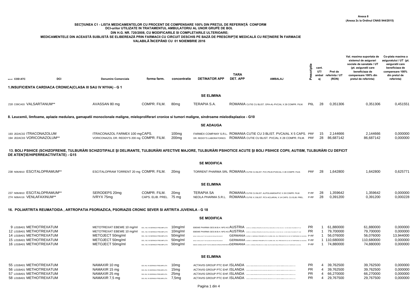### **SECŢIUNEA C1 - LISTA MEDICAMENTELOR CU PROCENT DE COMPENSARE 100% DIN PREŢUL DE REFERINŢĂ CONFORM DCI-urilor UTILIZATE ÎN TRATAMENTUL AMBULATORIU AL UNOR GRUPE DE BOL DIN H.G. NR. 720/2008, CU MODIFICARILE SI COMPLETARILE ULTERIOARE;** MEDICAMENTELE DIN ACEASTĂ SUBLISTĂ SE ELIBEREAZĂ PRIN FARMACII CU CIRCUIT DESCHIS PE BAZĂ DE PRESCRIPȚIE MEDICALĂ CU REȚINERE ÎN FARMACIE

**VALABILĂ ÎNCEPÂND CU 01 NOIEMBRIE 2016**

| NR.CRT COD ATC                                                                                                                          | DCI                                                           | <b>Denumire Comerciala</b>                                                                                                                                                    | forma farm.                                                                                                                                                                 | concentratie                                                       | <b>DETINATOR APP</b>                              | <b>TARA</b><br>DET. APP                                                                                                                                                                                                                                                                                                                                                                                                                                                                                                              | <b>AMBALAJ</b>                                                                                                                                                                                             | Prescriptie                                | cant.<br>UT/<br>ambal<br>ai | Pret de<br>referinta / UT<br>(RON)                                   | Val. maxima suportata de<br>sistemul de asigurari<br>sociale de sanatate / UT<br>(pt. asiguratii care<br>beneficiaza de<br>compensare 100% din<br>pretul de referinta) | Co-plata maxima a<br>asiguratului / UT (pt.<br>asiguratii care<br>beneficiaza de<br>compensare 100%<br>din pretul de<br>referinta) |
|-----------------------------------------------------------------------------------------------------------------------------------------|---------------------------------------------------------------|-------------------------------------------------------------------------------------------------------------------------------------------------------------------------------|-----------------------------------------------------------------------------------------------------------------------------------------------------------------------------|--------------------------------------------------------------------|---------------------------------------------------|--------------------------------------------------------------------------------------------------------------------------------------------------------------------------------------------------------------------------------------------------------------------------------------------------------------------------------------------------------------------------------------------------------------------------------------------------------------------------------------------------------------------------------------|------------------------------------------------------------------------------------------------------------------------------------------------------------------------------------------------------------|--------------------------------------------|-----------------------------|----------------------------------------------------------------------|------------------------------------------------------------------------------------------------------------------------------------------------------------------------|------------------------------------------------------------------------------------------------------------------------------------|
|                                                                                                                                         | 1. INSUFICIENTA CARDIACA CRONICA(CLASA III SAU IV NYHA) - G 1 |                                                                                                                                                                               |                                                                                                                                                                             |                                                                    |                                                   |                                                                                                                                                                                                                                                                                                                                                                                                                                                                                                                                      |                                                                                                                                                                                                            |                                            |                             |                                                                      |                                                                                                                                                                        |                                                                                                                                    |
|                                                                                                                                         |                                                               |                                                                                                                                                                               |                                                                                                                                                                             |                                                                    | <b>SE ELIMINA</b>                                 |                                                                                                                                                                                                                                                                                                                                                                                                                                                                                                                                      |                                                                                                                                                                                                            |                                            |                             |                                                                      |                                                                                                                                                                        |                                                                                                                                    |
|                                                                                                                                         |                                                               |                                                                                                                                                                               |                                                                                                                                                                             |                                                                    |                                                   |                                                                                                                                                                                                                                                                                                                                                                                                                                                                                                                                      |                                                                                                                                                                                                            |                                            |                             |                                                                      |                                                                                                                                                                        |                                                                                                                                    |
| 218 C09CA03 VALSARTANUM**                                                                                                               |                                                               | AVASSAN 80 mg                                                                                                                                                                 | COMPR. FILM.                                                                                                                                                                | 80 <sub>mq</sub>                                                   | <b>TERAPIA S.A.</b>                               |                                                                                                                                                                                                                                                                                                                                                                                                                                                                                                                                      | ROMANIA CUTIE CU BLIST. OPA-AL-PVC/AL X 28 COMPR. FILM.                                                                                                                                                    | P6L                                        | -28                         | 0,351306                                                             | 0,351306                                                                                                                                                               | 0,451551                                                                                                                           |
|                                                                                                                                         |                                                               | 8. Leucemii, limfoame, aplazie medulara, gamapatii monoclonale maligne, mieloproliferari cronice si tumori maligne, sindroame mielodisplazice - G10                           |                                                                                                                                                                             |                                                                    |                                                   |                                                                                                                                                                                                                                                                                                                                                                                                                                                                                                                                      |                                                                                                                                                                                                            |                                            |                             |                                                                      |                                                                                                                                                                        |                                                                                                                                    |
|                                                                                                                                         |                                                               |                                                                                                                                                                               |                                                                                                                                                                             |                                                                    | <b>SE ADAUGA</b>                                  |                                                                                                                                                                                                                                                                                                                                                                                                                                                                                                                                      |                                                                                                                                                                                                            |                                            |                             |                                                                      |                                                                                                                                                                        |                                                                                                                                    |
| 193 J02AC02 ITRACONAZOLUM<br>194 J02AC03 VORICONAZOLUM**                                                                                |                                                               | ITRACONAZOL FARMEX 100 mgCAPS.<br>VORICONAZOL DR. REDDY'S 200 mg COMPR. FILM.                                                                                                 |                                                                                                                                                                             | 100 <sub>mg</sub><br>200 <sub>mg</sub>                             |                                                   |                                                                                                                                                                                                                                                                                                                                                                                                                                                                                                                                      | FARMEX COMPANY S.R.L. ROMANIA CUTIE CU 3 BLIST. PVCA/AL X 5 CAPS. PRF<br>DR. REDDY'S LABORATORIES ROMANIA CUTIE CU BLIST, PVC/AL X 28 COMPR, FILM. PRF                                                     |                                            | - 15<br>-28                 | 2.144666<br>86.687142                                                | 2,144666<br>86,687142                                                                                                                                                  | 0,000000<br>0,000000                                                                                                               |
|                                                                                                                                         | DE ATENTIE/HIPERREACTIVITATE) - G15                           | 13. BOLI PSIHICE (SCHIZOFRENIE, TULBURĂRI SCHIZOTIPALE ȘI DELIRANTE, TULBURĂRI AFECTIVE MAJORE, TULBURĂRI PSIHOTICE ACUTE ȘI BOLI PSIHICE COPII, AUTISM, TULBURĂRI CU DEFICIT |                                                                                                                                                                             |                                                                    |                                                   |                                                                                                                                                                                                                                                                                                                                                                                                                                                                                                                                      |                                                                                                                                                                                                            |                                            |                             |                                                                      |                                                                                                                                                                        |                                                                                                                                    |
|                                                                                                                                         |                                                               |                                                                                                                                                                               |                                                                                                                                                                             |                                                                    | <b>SE MODIFICA</b>                                |                                                                                                                                                                                                                                                                                                                                                                                                                                                                                                                                      |                                                                                                                                                                                                            |                                            |                             |                                                                      |                                                                                                                                                                        |                                                                                                                                    |
|                                                                                                                                         | 238 N06AB10 ESCITALOPRAMUM**                                  | ESCITALOPRAM TORRENT 20 mg COMPR. FILM.                                                                                                                                       |                                                                                                                                                                             | 20 <sub>mq</sub>                                                   |                                                   | TORRENT PHARMA SRL ROMANIA CUTIE CU BLIST. PVC-PEJD-PVDC/AL X 28 COMPR. FILM.                                                                                                                                                                                                                                                                                                                                                                                                                                                        |                                                                                                                                                                                                            | <b>PRF</b>                                 | 28                          | 1,642800                                                             | 1,642800                                                                                                                                                               | 0,625771                                                                                                                           |
|                                                                                                                                         |                                                               |                                                                                                                                                                               |                                                                                                                                                                             |                                                                    | <b>SE ELIMINA</b>                                 |                                                                                                                                                                                                                                                                                                                                                                                                                                                                                                                                      |                                                                                                                                                                                                            |                                            |                             |                                                                      |                                                                                                                                                                        |                                                                                                                                    |
| 274 N06AX16 VENLAFAXINUM**                                                                                                              | 237 N06AB10 ESCITALOPRAMUM**                                  | SERODEPS 20mg<br>IVRYX 75mg                                                                                                                                                   | COMPR. FILM.<br>CAPS. ELIB. PREL. 75 mg                                                                                                                                     | 20 <sub>mg</sub>                                                   | <b>TERAPIA SA</b><br>NEOLA PHARMA S.R.L.          | ROMANIA CUTIE CU BLIST. AL/POLIAMIDA/PVC X 28 COMPR. FILM.                                                                                                                                                                                                                                                                                                                                                                                                                                                                           | ROMANIA CUTIE X 2 BLIST. PCV-ACLAR/AL X 14 CAPS. CU ELIB. PREL.                                                                                                                                            | P-RF<br>P-RF                               | 28<br>28                    | 1,359642<br>0,391200                                                 | 1,359642<br>0,391200                                                                                                                                                   | 0,000000<br>0,000228                                                                                                               |
|                                                                                                                                         |                                                               | 16. POLIARTRITA REUMATOIDA, ARTROPATIA PSORIAZICA, PSORIAZIS CRONIC SEVER SI ARTRITA JUVENILA - G 18                                                                          |                                                                                                                                                                             |                                                                    |                                                   |                                                                                                                                                                                                                                                                                                                                                                                                                                                                                                                                      |                                                                                                                                                                                                            |                                            |                             |                                                                      |                                                                                                                                                                        |                                                                                                                                    |
|                                                                                                                                         |                                                               |                                                                                                                                                                               |                                                                                                                                                                             |                                                                    | <b>SE MODIFICA</b>                                |                                                                                                                                                                                                                                                                                                                                                                                                                                                                                                                                      |                                                                                                                                                                                                            |                                            |                             |                                                                      |                                                                                                                                                                        |                                                                                                                                    |
| 9 L01BA01 METHOTREXATUM<br>12 L01BA01 METHOTREXATUM<br>14 L01BA01 METHOTREXATUM<br>15 L01BA01 METHOTREXATUM<br>16 L01BA01 METHOTREXATUM |                                                               | METOTREXAT EBEWE 10 mg/ml<br>METOTREXAT EBEWE 10 mg/ml<br>METOJECT 50mg/ml<br>METOJECT 50mg/ml<br>METOJECT 50mg/ml                                                            | SOL. INJ. IN SERINGA PREUMPLUTA<br>SOL. INJ. IN SERINGA PREUMPLUTA<br>SOL. INJ. IN SERINGA PREUMPLUTA<br>SOL. INJ. IN SERINGA PREUMPLUTA<br>SOL. INJ. IN SERINGA PREUMPLUTA | $10mq$ /ml<br>10mg/ml<br>50mg/ml<br>50mg/ml<br>50 <sub>mg/ml</sub> | MEDAC GESELLSCAFT FUR KLINISCHE SPEZIALPRÄJPARATE | EBEWE PHARMA GES.M.B.H. NFG KG AUSTRIA QUE CU 1 SERNGA PREUNFLUTA DN STICLA NCOLORA X 0,75 ML SOL INL + AC DE UNICA FOLOSINTA PT. INJ<br>EBEWE PHARMA GES.M.B.H. NFG KG AUSTRIA CUTE DES RESIDENTE A PREMIENTA ON STICLA NCOLORA X 1.5 ML SOL INL + AC DE UNICA FOLOSINTA PT. INJE<br>MEDAC GESELLSCAFT FUR KLINISCHE SPEZIALPRÅPARATEGERMANIA GUTIE X 1 SERINGA PREUMPLUTA X 0.30M, SOLUTIA NUECTABLA PREVAZUTA CU AC SI TAMPOANE CU ALCOCL                                                                                         | GERMANIA CUTIE X 1 SERINGA PREUMPLUTA X 0,20ML SOL. INJ. PREVAZUTA CU AC SI TAMPOANE CU ALCOOL P-RF<br>GERMANIA CUTIE X 1 SERINGA PREUMPLUTA X 0,50ML SOL. INJ. PREVAZUTA CU AC SI TAMPOANE CU ALCOOL P-RF | <b>PR</b><br><b>PR</b><br>P-RF             | $\mathbf{1}$<br>1           | 1 61,880000<br>79,700000<br>56,076000<br>1 110,680000<br>1 74,880000 | 61,880000<br>79,700000<br>56,076000<br>110,680000<br>74,880000                                                                                                         | 0,000000<br>0,000000<br>13,944000<br>0,000000<br>0,000000                                                                          |
|                                                                                                                                         |                                                               |                                                                                                                                                                               |                                                                                                                                                                             |                                                                    | <b>SE ELIMINA</b>                                 |                                                                                                                                                                                                                                                                                                                                                                                                                                                                                                                                      |                                                                                                                                                                                                            |                                            |                             |                                                                      |                                                                                                                                                                        |                                                                                                                                    |
| 55 L01BA01 METHOTREXATUM<br>56 L01BA01 METHOTREXATUM<br>57 L01BA01 METHOTREXATUM<br>58 L01BA01 METHOTREXATUM                            |                                                               | NAMAXIR 10 mg<br>NAMAXIR 15 mg<br>NAMAXIR 25 mg<br>NAMAXIR 7.5 mg                                                                                                             | SOL INJ. IN SERINGA PREUMPLUTA<br>SOL INJ. IN SERINGA PREUMPLUTA<br>SOL INJ. IN SERINGA PREUMPLUTA<br>SOL INJ. IN SERINGA PREUMPLUTA                                        | 10 <sub>mg</sub><br>15 <sub>mg</sub><br>25mg<br>7.5ma              |                                                   | ACTAVIS GROUP PTC EHF. ISLANDA COME DU EN ERA ACCORD PRODUCT DU ET ANCHE D'ANNELLE DU COLLEGIE AU<br>ACTAVIS GROUP PTC EHF, ISLANDA and of a best of a program of the company of the set of an estimative company of the set of an estimative company of the set of an estimative company of the set of an estimative company of th<br>ACTAVIS GROUP PTC EHF. ISLANDA SUBSECTIVE DELT DE TRACTE DE TARTE DE TANCHE DE DE RECORD AND DES RE<br>ACTAVIS GROUP PTC EHF, ISLANDA SUBSTANDA DEL TO ANNO 1996 ET ANCHI DIMENSION ANNO 1996 |                                                                                                                                                                                                            | <b>PR</b><br><b>PR</b><br><b>PR</b><br>PR. | 4<br>4<br>4<br>4            | 39,762500<br>39,762500<br>66,270000<br>29.767500                     | 39,762500<br>39,762500<br>66,270000<br>29.767500                                                                                                                       | 0,000000<br>0,000000<br>0,000000<br>0.000000                                                                                       |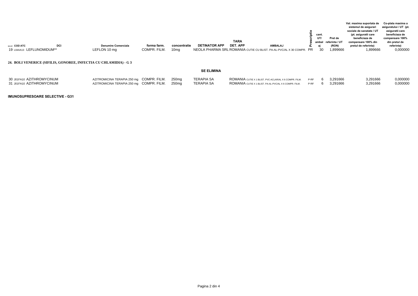|                                                                   |                                            |                             |                                  |                      | <b>TARA</b>                                                                      |                | cant.<br>UT/ | Pret de<br>ambal referinta / UT | Val. maxima suportata de<br>sistemul de asigurari<br>sociale de sanatate / UT<br>(pt. asiguratii care<br>beneficiaza de<br>compensare 100% din | Co-plata maxima a<br>asiguratului / UT (pt.<br>asiguratii care<br>beneficiaza de<br>compensare 100%<br>din pretul de |
|-------------------------------------------------------------------|--------------------------------------------|-----------------------------|----------------------------------|----------------------|----------------------------------------------------------------------------------|----------------|--------------|---------------------------------|------------------------------------------------------------------------------------------------------------------------------------------------|----------------------------------------------------------------------------------------------------------------------|
| DCI<br>NR.CRT COD ATC<br>19 L04AA13 LEFLUNOMIDUM**                | <b>Denumire Comerciala</b><br>LEFLON 10 mg | forma farm.<br>COMPR. FILM. | concentratie<br>10 <sub>mq</sub> | <b>DETINATOR APP</b> | DET. APP<br>NEOLA PHARMA SRL ROMANIA CUTIE CU BLIST, PA-AL-PVC/AL X 30 COMPR. PR | <b>AMBALAJ</b> | 30           | (RON)<br>1.899666               | pretul de referinta)<br>1,899666                                                                                                               | referinta)<br>0,000000                                                                                               |
| 24. BOLI VENERICE (SIFILIS, GONOREE, INFECTIA CU CHLAMIDIA) - G 3 |                                            |                             |                                  |                      |                                                                                  |                |              |                                 |                                                                                                                                                |                                                                                                                      |

#### **SE ELIMINA**

| 30 J01FA10 AZITHROMYCINUM<br>31 J01FA10 AZITHROMYCINUM | AZITROMICINA TERAPIA 250 mg COMPR. FILM. 250mg<br>AZITROMICINA TERAPIA 250 mg COMPR. FILM. 250mg | TERAPIA SA<br>TERAPIA SA | ROMANIA CUTIE X 1 BLIST. PVC-ACLAR/AL X 6 COMPR. FILM. P-RF<br>ROMANIA CUTIE X 1 BLIST. PA-AL-PVC/AL X 6 COMPR. FILM. P-RF |  | 3.291666<br>6 3,291666 | 3,291666<br>3,291666 | 0,000000<br>0,000000 |
|--------------------------------------------------------|--------------------------------------------------------------------------------------------------|--------------------------|----------------------------------------------------------------------------------------------------------------------------|--|------------------------|----------------------|----------------------|
|                                                        |                                                                                                  |                          |                                                                                                                            |  |                        |                      |                      |

**IMUNOSUPRESOARE SELECTIVE - G31**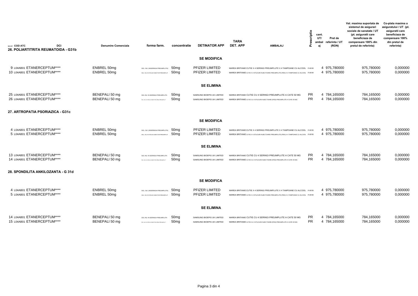| <b>NR.CRT COD ATC</b><br>DCI                               | Denumire Comerciala              | forma farm.                                                                                 | concentratie                         | <b>DETINATOR APP</b>                                     | <b>TARA</b><br><b>DET. APP</b> | <b>AMBALAJ</b>                                                                                                                                                           | Prescriptie            | cant.<br>UT/<br>ambal<br>aj | Pret de<br>referinta / UT<br>(RON) | Val. maxima suportata de<br>sistemul de asigurari<br>sociale de sanatate / UT<br>(pt. asiguratii care<br>beneficiaza de<br>compensare 100% din<br>pretul de referinta) | Co-plata maxima a<br>asiguratului / UT (pt.<br>asiguratii care<br>beneficiaza de<br>compensare 100%<br>din pretul de<br>referinta) |
|------------------------------------------------------------|----------------------------------|---------------------------------------------------------------------------------------------|--------------------------------------|----------------------------------------------------------|--------------------------------|--------------------------------------------------------------------------------------------------------------------------------------------------------------------------|------------------------|-----------------------------|------------------------------------|------------------------------------------------------------------------------------------------------------------------------------------------------------------------|------------------------------------------------------------------------------------------------------------------------------------|
| 26. POLIARTITRITA REUMATOIDA - G31b                        |                                  |                                                                                             |                                      |                                                          |                                |                                                                                                                                                                          |                        |                             |                                    |                                                                                                                                                                        |                                                                                                                                    |
|                                                            |                                  |                                                                                             |                                      | <b>SE MODIFICA</b>                                       |                                |                                                                                                                                                                          |                        |                             |                                    |                                                                                                                                                                        |                                                                                                                                    |
| 9 L04AB01 ETANERCEPTUM****<br>10 L04AB01 ETANERCEPTUM****  | ENBREL 50mg<br>ENBREL 50mg       | SOL. INJ. (INSERINGA PREUMPLUTA) $50mg$<br>SOL. INJ. IN STILOU INJECTOR PREUMPLUT $50$ $mg$ |                                      | PFIZER LIMITED<br><b>PFIZER LIMITED</b>                  |                                | MAREA BRITANIE CUTIE X 4 SERINGI PREUMPLUTE X 4 TAMPOANE CU ALCOOL P-RF/R<br>MAREA BRITANIE CUTIE X 4 STILOURI INJECTOARE PREUMPLUTE (PEN) X 4 TAMPOANE CU ALCOOL P-RF/R |                        |                             | 4 975,780000<br>4 975,780000       | 975,780000<br>975,780000                                                                                                                                               | 0,000000<br>0,000000                                                                                                               |
|                                                            |                                  |                                                                                             |                                      | <b>SE ELIMINA</b>                                        |                                |                                                                                                                                                                          |                        |                             |                                    |                                                                                                                                                                        |                                                                                                                                    |
| 25 L04AB01 ETANERCEPTUM****<br>26 L04AB01 ETANERCEPTUM**** | BENEPALI 50 mg<br>BENEPALI 50 mg | SOL INJ. IN SERINGA PREUMPLUTA                                                              | 50 <sub>mg</sub><br>50 <sub>mg</sub> | SAMSUNG BIOEPIS UK LIMITED                               |                                | MAREA BRITANIE CUTIE CU 4 SERINGI PREUMPLUTE A CATE 50 MG                                                                                                                | <b>PR</b><br><b>PR</b> |                             | 4 784,165000<br>4 784,165000       | 784,165000<br>784,165000                                                                                                                                               | 0,000000<br>0,000000                                                                                                               |
|                                                            |                                  | SOL INJ. IN STILOU INJECTOR (PEN) PREUMPLUT                                                 |                                      | SAMSUNG BIOEPIS UK LIMITED                               |                                | MAREA BRITANIE CUTIE CU 4 STILOURI INJECTOARE (PEN) PREUMPLUTE A CATE 50 MG                                                                                              |                        |                             |                                    |                                                                                                                                                                        |                                                                                                                                    |
| 27. ARTROPATIA PSORIAZICA - G31c                           |                                  |                                                                                             |                                      |                                                          |                                |                                                                                                                                                                          |                        |                             |                                    |                                                                                                                                                                        |                                                                                                                                    |
|                                                            |                                  |                                                                                             |                                      | <b>SE MODIFICA</b>                                       |                                |                                                                                                                                                                          |                        |                             |                                    |                                                                                                                                                                        |                                                                                                                                    |
| 4 L04AB01 ETANERCEPTUM****<br>5 L04AB01 ETANERCEPTUM****   | ENBREL 50mg<br>ENBREL 50mg       | SOL. INJ. (INSERINGA PREUMPLUTA)                                                            | 50 <sub>mq</sub><br>50mg             | PFIZER LIMITED<br><b>PFIZER LIMITED</b>                  |                                | MAREA BRITANIE CUTIE X 4 SERINGI PREUMPLUTE X 4 TAMPOANE CU ALCOOL P-RF/R                                                                                                |                        |                             | 4 975,780000<br>4 975,780000       | 975,780000<br>975,780000                                                                                                                                               | 0,000000<br>0,000000                                                                                                               |
|                                                            |                                  | SOL. INJ. IN STILOU INJECTOR PREUMPLUT                                                      |                                      |                                                          |                                | MAREA BRITANIE CUTIE X 4 STILOURI INJECTOARE PREUMPLUTE (PEN) X 4 TAMPOANE CU ALCOOL P-RF/R                                                                              |                        |                             |                                    |                                                                                                                                                                        |                                                                                                                                    |
|                                                            |                                  |                                                                                             |                                      | <b>SE ELIMINA</b>                                        |                                |                                                                                                                                                                          |                        |                             |                                    |                                                                                                                                                                        |                                                                                                                                    |
| 13 L04AB01 ETANERCEPTUM****<br>14 L04AB01 ETANERCEPTUM**** | BENEPALI 50 mg<br>BENEPALI 50 mg | SOL INJ. IN SERINGA PREUMPLUTA<br>SOL INJ. IN STILOU INJECTOR (PEN) PREUMPLUT               | 50 <sub>mg</sub><br>50 <sub>mg</sub> | SAMSUNG BIOEPIS UK LIMITED<br>SAMSUNG BIOEPIS UK LIMITED |                                | MAREA BRITANIE CUTIE CU 4 SERINGI PREUMPLUTE A CATE 50 MG<br>MAREA BRITANIE CUTIE CU 4 STILOURI INJECTOARE (PEN) PREUMPLUTE A CATE 50 MG                                 | <b>PR</b><br><b>PR</b> |                             | 4 784,165000<br>4 784,165000       | 784,165000<br>784,165000                                                                                                                                               | 0,000000<br>0,000000                                                                                                               |
|                                                            |                                  |                                                                                             |                                      |                                                          |                                |                                                                                                                                                                          |                        |                             |                                    |                                                                                                                                                                        |                                                                                                                                    |
| 28. SPONDILITA ANKILOZANTA - G 31d                         |                                  |                                                                                             |                                      |                                                          |                                |                                                                                                                                                                          |                        |                             |                                    |                                                                                                                                                                        |                                                                                                                                    |
|                                                            |                                  |                                                                                             |                                      | <b>SE MODIFICA</b>                                       |                                |                                                                                                                                                                          |                        |                             |                                    |                                                                                                                                                                        |                                                                                                                                    |
| 4 L04AB01 ETANERCEPTUM****                                 | ENBREL 50mg                      | SOL. INJ. (INSERINGA PREUMPLUTA) $50mg$                                                     |                                      | <b>PFIZER LIMITED</b>                                    |                                | MAREA BRITANIE CUTIE X 4 SERINGI PREUMPLUTE X 4 TAMPOANE CU ALCOOL P-RF/R                                                                                                |                        |                             | 4 975,780000                       | 975,780000                                                                                                                                                             | 0,000000                                                                                                                           |
| 5 L04AB01 ETANERCEPTUM****                                 | ENBREL 50mg                      | SOL INJ. IN STILOU INJECTOR PREUMPLUT 50Mg                                                  |                                      | PFIZER LIMITED                                           |                                | MAREA BRITANIE CUTIE X 4 STILOURI INJECTOARE PREUMPLUTE (PEN) X 4 TAMPOANE CU ALCOOL P-RF/R                                                                              |                        |                             | 4 975,780000                       | 975,780000                                                                                                                                                             | 0,000000                                                                                                                           |
|                                                            |                                  |                                                                                             |                                      | <b>SE ELIMINA</b>                                        |                                |                                                                                                                                                                          |                        |                             |                                    |                                                                                                                                                                        |                                                                                                                                    |
| 14 L04AB01 ETANERCEPTUM****<br>15 L04AB01 ETANERCEPTUM**** | BENEPALI 50 mg<br>BENEPALI 50 mg | SOL INJ. IN SERINGA PREUMPLUTA                                                              | 50mg<br>50 <sub>mg</sub>             | SAMSUNG BIOEPIS UK LIMITED                               |                                | MAREA BRITANIE CUTIE CU 4 SERINGI PREUMPLUTE A CATE 50 MG                                                                                                                | <b>PR</b><br><b>PR</b> |                             | 4 784,165000<br>4 784.165000       | 784,165000<br>784,165000                                                                                                                                               | 0,000000<br>0,000000                                                                                                               |
|                                                            |                                  | SOL INJ. IN STILOU INJECTOR (PEN) PREUMPLUT                                                 |                                      | SAMSUNG BIOEPIS UK LIMITED                               |                                | MAREA BRITANIE CUTIE CU 4 STILOURI INJECTOARE (PEN) PREUMPLUTE A CATE 50 MG                                                                                              |                        |                             |                                    |                                                                                                                                                                        |                                                                                                                                    |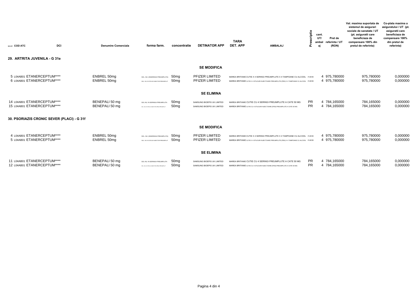| DCI<br>NR.CRT COD ATC<br>29. ARTRITA JUVENILA - G 31e      |                            | <b>Denumire Comerciala</b>       | forma farm.                                                                    | concentratie                         | <b>DETINATOR APP</b>                                     | <b>TARA</b><br>DET. APP                                                                                                                                                  | <b>AMBALAJ</b> | criptie<br>cant.<br>$\Omega$ | UT/<br>Pret de<br>referinta / UT<br>ambal<br>(RON) | Val. maxima suportata de<br>sistemul de asigurari<br>sociale de sanatate / UT<br>(pt. asiguratii care<br>beneficiaza de<br>compensare 100% din<br>pretul de referinta) | Co-plata maxima a<br>asiguratului / UT (pt.<br>asiguratii care<br>beneficiaza de<br>compensare 100%<br>din pretul de<br>referinta) |
|------------------------------------------------------------|----------------------------|----------------------------------|--------------------------------------------------------------------------------|--------------------------------------|----------------------------------------------------------|--------------------------------------------------------------------------------------------------------------------------------------------------------------------------|----------------|------------------------------|----------------------------------------------------|------------------------------------------------------------------------------------------------------------------------------------------------------------------------|------------------------------------------------------------------------------------------------------------------------------------|
|                                                            |                            |                                  |                                                                                |                                      |                                                          |                                                                                                                                                                          |                |                              |                                                    |                                                                                                                                                                        |                                                                                                                                    |
|                                                            |                            |                                  |                                                                                |                                      | <b>SE MODIFICA</b>                                       |                                                                                                                                                                          |                |                              |                                                    |                                                                                                                                                                        |                                                                                                                                    |
| 5 L04AB01 ETANERCEPTUM****<br>6 L04AB01 ETANERCEPTUM****   | ENBREL 50mg<br>ENBREL 50mg |                                  | SOL. INJ. (INSERINGA PREUMPLUTA)<br>SOL. INJ. IN STILOU INJECTOR PREUMPLUT     | 50mg<br>50 <sub>mq</sub>             | PFIZER LIMITED<br>PFIZER LIMITED                         | MAREA BRITANIE CUTIE X 4 SERINGI PREUMPLUTE X 4 TAMPOANE CU ALCOOL P-RF/R<br>MAREA BRITANIE CUTIE X 4 STILOURI INJECTOARE PREUMPLUTE (PEN) X 4 TAMPOANE CU ALCOOL P-RF/R |                |                              | 4 975,780000<br>4 975,780000                       | 975,780000<br>975,780000                                                                                                                                               | 0,000000<br>0,000000                                                                                                               |
|                                                            |                            |                                  |                                                                                |                                      | <b>SE ELIMINA</b>                                        |                                                                                                                                                                          |                |                              |                                                    |                                                                                                                                                                        |                                                                                                                                    |
| 14 L04AB01 ETANERCEPTUM****<br>15 L04AB01 ETANERCEPTUM**** |                            | BENEPALI 50 mg<br>BENEPALI 50 mg | SOL INJ. IN SERINGA PREUMPLUTA<br>SOL INJ. IN STILOU INJECTOR (PEN) PREUMPLUT  | 50 <sub>mg</sub><br>50 <sub>mg</sub> | SAMSUNG BIOEPIS UK LIMITED<br>SAMSUNG BIOEPIS UK LIMITED | MAREA BRITANIE CUTIE CU 4 SERINGI PREUMPLUTE A CATE 50 MG<br>MAREA BRITANIE CUTIE CU 4 STILOURI INJECTOARE (PEN) PREUMPLUTE A CATE 50 MG                                 |                | PR.<br><b>PR</b>             | 4 784,165000<br>4 784,165000                       | 784,165000<br>784,165000                                                                                                                                               | 0,000000<br>0,000000                                                                                                               |
| 30. PSORIAZIS CRONIC SEVER (PLACI) - G 31f                 |                            |                                  |                                                                                |                                      |                                                          |                                                                                                                                                                          |                |                              |                                                    |                                                                                                                                                                        |                                                                                                                                    |
|                                                            |                            |                                  |                                                                                |                                      | <b>SE MODIFICA</b>                                       |                                                                                                                                                                          |                |                              |                                                    |                                                                                                                                                                        |                                                                                                                                    |
|                                                            |                            |                                  |                                                                                |                                      |                                                          |                                                                                                                                                                          |                |                              |                                                    |                                                                                                                                                                        |                                                                                                                                    |
| 4 L04AB01 ETANERCEPTUM****<br>5 L04AB01 ETANERCEPTUM****   | ENBREL 50mg<br>ENBREL 50mg |                                  | SOL. INJ. (INSERINGA PREUMPLUTA)<br>SOL. INJ. IN STILOU INJECTOR PREUMPLUT     | 50 <sub>mg</sub><br>50 <sub>mq</sub> | PFIZER LIMITED<br>PFIZER LIMITED                         | MAREA BRITANIE CUTIE X 4 SERINGI PREUMPLUTE X 4 TAMPOANE CU ALCOOL P-RF/R<br>MAREA BRITANIE CUTIE X 4 STILOURI INJECTOARE PREUMPLUTE (PEN) X 4 TAMPOANE CU ALCOOL P-RF/R |                |                              | 4 975,780000<br>4 975,780000                       | 975,780000<br>975,780000                                                                                                                                               | 0,000000<br>0,000000                                                                                                               |
|                                                            |                            |                                  |                                                                                |                                      | <b>SE ELIMINA</b>                                        |                                                                                                                                                                          |                |                              |                                                    |                                                                                                                                                                        |                                                                                                                                    |
| 11 L04AB01 ETANERCEPTUM****<br>12 L04AB01 ETANERCEPTUM**** |                            | BENEPALI 50 mg<br>BENEPALI 50 mg | SOL INJ. IN SERINGA PREUMPLUTA<br>SCL. INJ. IN STILOU INJECTOR (PEN) PREUMPLUT | 50mg<br>50 <sub>mq</sub>             | SAMSUNG BIOEPIS UK LIMITED<br>SAMSUNG BIOEPIS UK LIMITED | MAREA BRITANIE CUTIE CU 4 SERINGI PREUMPLUTE A CATE 50 MG<br>MAREA BRITANIE CUTIE CU 4 STILOURI INJECTOARE (PEN) PREUMPLUTE A CATE 50 MG                                 |                | <b>PR</b><br><b>PR</b>       | 4 784,165000<br>4 784,165000                       | 784,165000<br>784,165000                                                                                                                                               | 0,000000<br>0,000000                                                                                                               |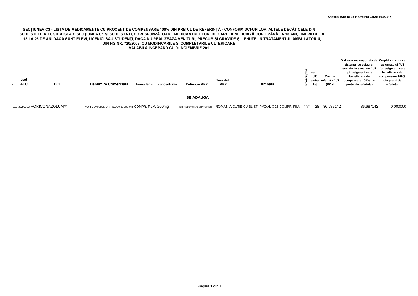#### SECTIUNEA C3 - LISTA DE MEDICAMENTE CU PROCENT DE COMPENSARE 100% DIN PREȚUL DE REFERINȚĂ - CONFORM DCI-URILOR, ALTELE DECÂT CELE DIN SUBLISTELE A, B, SUBLISTA C SECTIUNEA C1 ȘI SUBLISTA D, CORESPUNZĂTOARE MEDICAMENTELOR, DE CARE BENEFICIAZĂ COPIII PÂNĂ LA 18 ANI, TINERII DE LA 18 LA 26 DE ANI DACĂ SUNT ELEVI, UCENICI SAU STUDENȚI, DACĂ NU REALIZEAZĂ VENITURI, PRECUM ȘI GRAVIDE ȘI LEHUZE, ÎN TRATAMENTUL AMBULATORIU, DIN HG NR. 720/2008, CU MODIFICARILE SI COMPLETARILE ULTERIOARE VALABILĂ ÎNCEPÂND CU 01 NOIEMBRIE 201

| cod<br>Nr. crt ATC<br><b>DCI</b> | <b>Denumire Comerciala</b><br>concentratie<br>forma farm. | <b>Detinator APP</b>     | Tara det.<br><b>APP</b> | Ambala                                               | cant.<br>UT/<br>lai | Pret de<br>amba referinta / UT<br>(RON) | Val. maxima suportata de Co-plata maxima a<br>sistemul de asigurari<br>sociale de sanatate / UT (pt. asiguratii care<br>(pt. asiguratii care<br>beneficiaza de<br>compensare 100% din<br>pretul de referinta) | asiguratului / UT<br>beneficiaza de<br>compensare 100%<br>din pretul de<br>referinta) |
|----------------------------------|-----------------------------------------------------------|--------------------------|-------------------------|------------------------------------------------------|---------------------|-----------------------------------------|---------------------------------------------------------------------------------------------------------------------------------------------------------------------------------------------------------------|---------------------------------------------------------------------------------------|
|                                  |                                                           | <b>SE ADAUGA</b>         |                         |                                                      |                     |                                         |                                                                                                                                                                                                               |                                                                                       |
| 212 J02AC03 VORICONAZOLUM**      | VORICONAZOL DR. REDDY'S 200 mg COMPR, FILM, 200mg         | DR. REDDY'S LABORATORIES |                         | ROMANIA CUTIE CU BLIST. PVC/AL X 28 COMPR. FILM. PRF |                     | 28 86.687142                            | 86.687142                                                                                                                                                                                                     | 0.000000                                                                              |